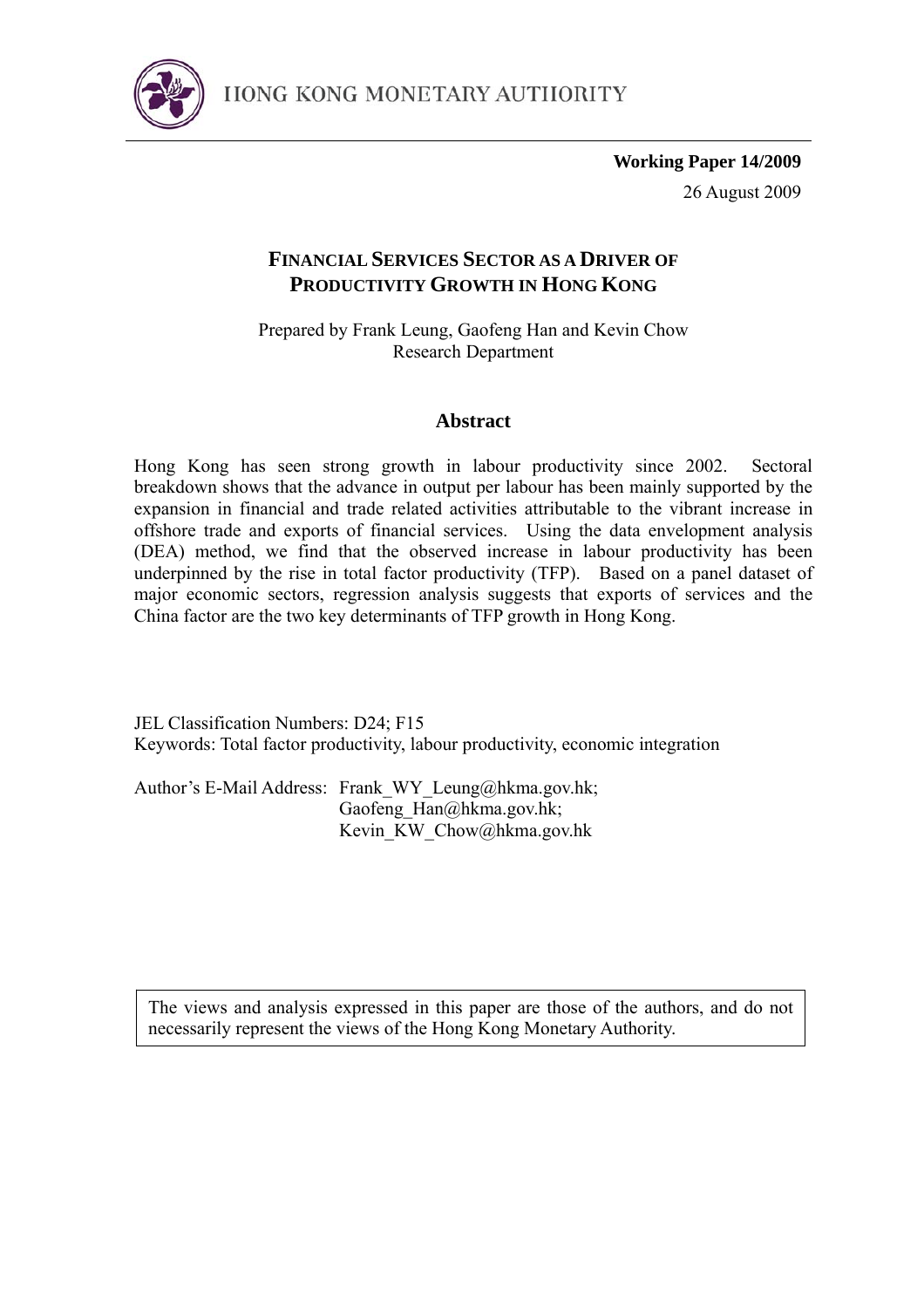

**Working Paper 14/2009** 26 August 2009

## **FINANCIAL SERVICES SECTOR AS A DRIVER OF PRODUCTIVITY GROWTH IN HONG KONG**

Prepared by Frank Leung, Gaofeng Han and Kevin Chow Research Department

## **Abstract**

Hong Kong has seen strong growth in labour productivity since 2002. Sectoral breakdown shows that the advance in output per labour has been mainly supported by the expansion in financial and trade related activities attributable to the vibrant increase in offshore trade and exports of financial services. Using the data envelopment analysis (DEA) method, we find that the observed increase in labour productivity has been underpinned by the rise in total factor productivity (TFP). Based on a panel dataset of major economic sectors, regression analysis suggests that exports of services and the China factor are the two key determinants of TFP growth in Hong Kong.

JEL Classification Numbers: D24; F15 Keywords: Total factor productivity, labour productivity, economic integration

Author's E-Mail Address: Frank WY Leung@hkma.gov.hk; Gaofeng  $\text{Han}\textcircled{a}$ hkma.gov.hk; Kevin KW\_Chow@hkma.gov.hk

The views and analysis expressed in this paper are those of the authors, and do not necessarily represent the views of the Hong Kong Monetary Authority.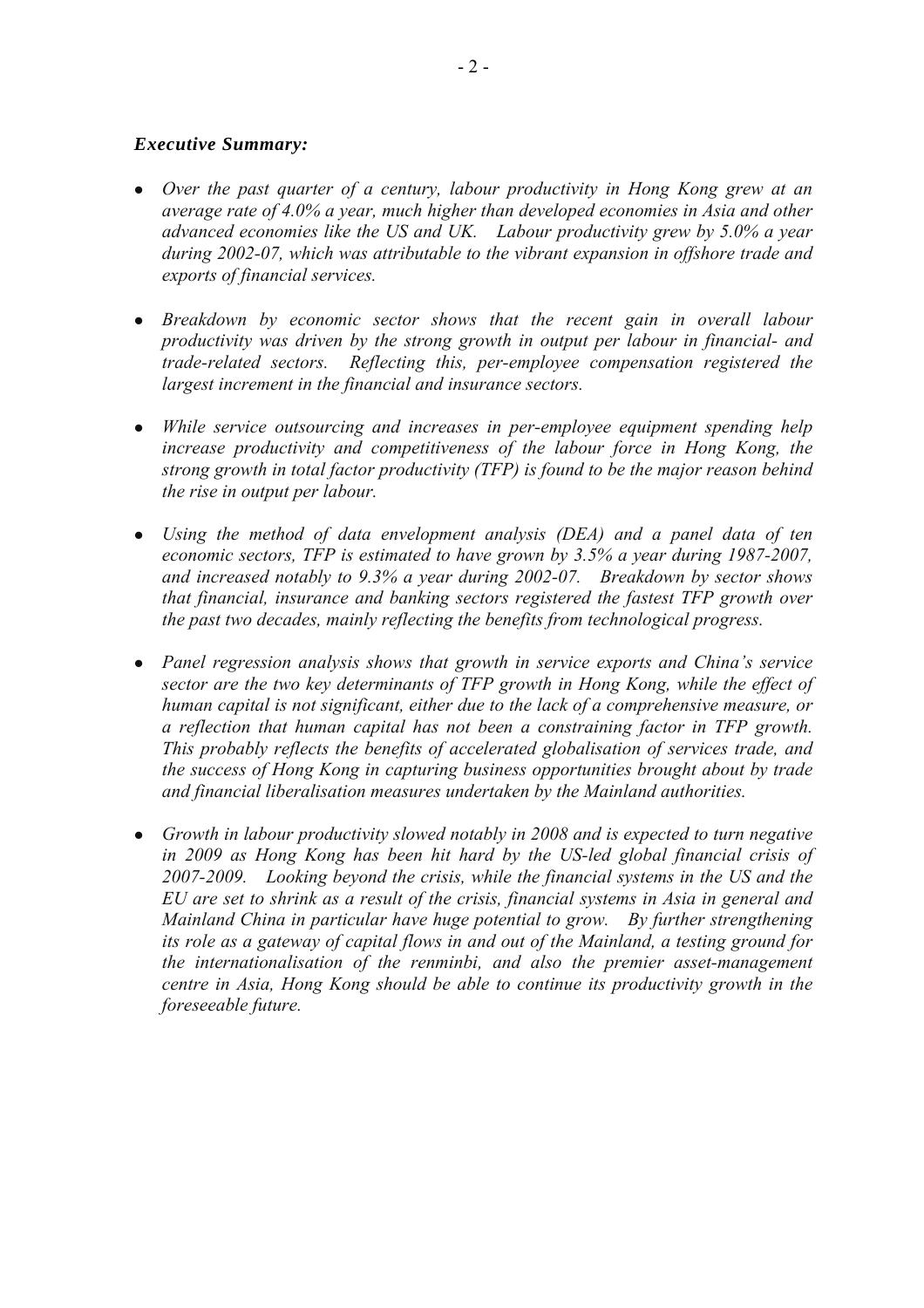## *Executive Summary:*

- Over the past quarter of a century, labour productivity in Hong Kong grew at an *average rate of 4.0% a year, much higher than developed economies in Asia and other advanced economies like the US and UK. Labour productivity grew by 5.0% a year during 2002-07, which was attributable to the vibrant expansion in offshore trade and exports of financial services.*
- Breakdown by economic sector shows that the recent gain in overall labour *productivity was driven by the strong growth in output per labour in financial- and trade-related sectors. Reflecting this, per-employee compensation registered the largest increment in the financial and insurance sectors.*
- *While service outsourcing and increases in per-employee equipment spending help increase productivity and competitiveness of the labour force in Hong Kong, the strong growth in total factor productivity (TFP) is found to be the major reason behind the rise in output per labour.*
- Using the method of data envelopment analysis (DEA) and a panel data of ten *economic sectors, TFP is estimated to have grown by 3.5% a year during 1987-2007, and increased notably to 9.3% a year during 2002-07. Breakdown by sector shows that financial, insurance and banking sectors registered the fastest TFP growth over the past two decades, mainly reflecting the benefits from technological progress.*
- Panel regression analysis shows that growth in service exports and China's service *sector are the two key determinants of TFP growth in Hong Kong, while the effect of human capital is not significant, either due to the lack of a comprehensive measure, or a reflection that human capital has not been a constraining factor in TFP growth. This probably reflects the benefits of accelerated globalisation of services trade, and the success of Hong Kong in capturing business opportunities brought about by trade and financial liberalisation measures undertaken by the Mainland authorities.*
- Growth in labour productivity slowed notably in 2008 and is expected to turn negative *in 2009 as Hong Kong has been hit hard by the US-led global financial crisis of 2007-2009. Looking beyond the crisis, while the financial systems in the US and the EU are set to shrink as a result of the crisis, financial systems in Asia in general and Mainland China in particular have huge potential to grow. By further strengthening its role as a gateway of capital flows in and out of the Mainland, a testing ground for the internationalisation of the renminbi, and also the premier asset-management centre in Asia, Hong Kong should be able to continue its productivity growth in the foreseeable future.*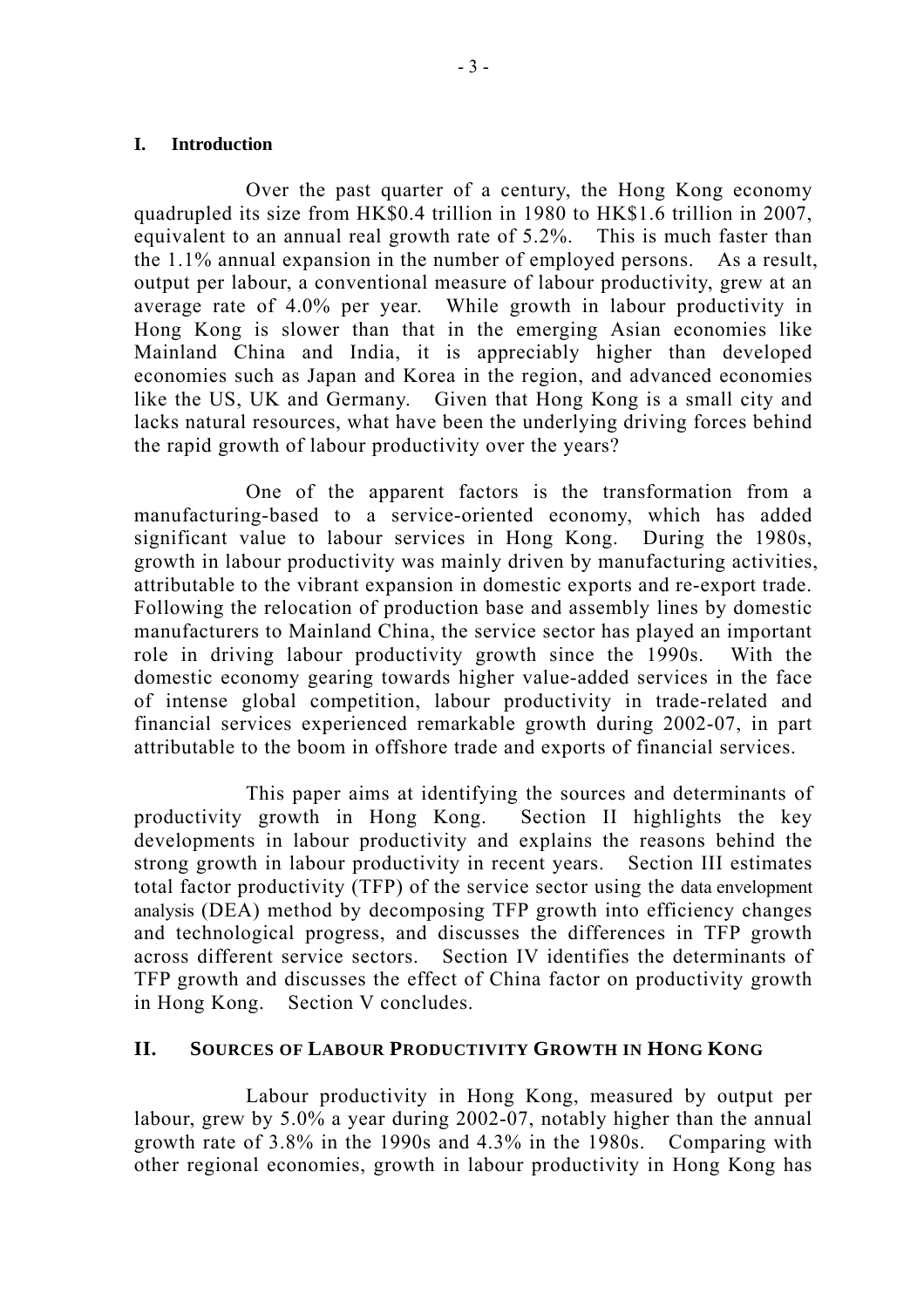## **I. Introduction**

Over the past quarter of a century, the Hong Kong economy quadrupled its size from HK\$0.4 trillion in 1980 to HK\$1.6 trillion in 2007, equivalent to an annual real growth rate of 5.2%. This is much faster than the 1.1% annual expansion in the number of employed persons. As a result, output per labour, a conventional measure of labour productivity, grew at an average rate of 4.0% per year. While growth in labour productivity in Hong Kong is slower than that in the emerging Asian economies like Mainland China and India, it is appreciably higher than developed economies such as Japan and Korea in the region, and advanced economies like the US, UK and Germany. Given that Hong Kong is a small city and lacks natural resources, what have been the underlying driving forces behind the rapid growth of labour productivity over the years?

 One of the apparent factors is the transformation from a manufacturing-based to a service-oriented economy, which has added significant value to labour services in Hong Kong. During the 1980s, growth in labour productivity was mainly driven by manufacturing activities, attributable to the vibrant expansion in domestic exports and re-export trade. Following the relocation of production base and assembly lines by domestic manufacturers to Mainland China, the service sector has played an important role in driving labour productivity growth since the 1990s. With the domestic economy gearing towards higher value-added services in the face of intense global competition, labour productivity in trade-related and financial services experienced remarkable growth during 2002-07, in part attributable to the boom in offshore trade and exports of financial services.

 This paper aims at identifying the sources and determinants of productivity growth in Hong Kong. Section II highlights the key developments in labour productivity and explains the reasons behind the strong growth in labour productivity in recent years. Section III estimates total factor productivity (TFP) of the service sector using the data envelopment analysis (DEA) method by decomposing TFP growth into efficiency changes and technological progress, and discusses the differences in TFP growth across different service sectors. Section IV identifies the determinants of TFP growth and discusses the effect of China factor on productivity growth in Hong Kong. Section V concludes.

## **II. SOURCES OF LABOUR PRODUCTIVITY GROWTH IN HONG KONG**

 Labour productivity in Hong Kong, measured by output per labour, grew by 5.0% a year during 2002-07, notably higher than the annual growth rate of 3.8% in the 1990s and 4.3% in the 1980s. Comparing with other regional economies, growth in labour productivity in Hong Kong has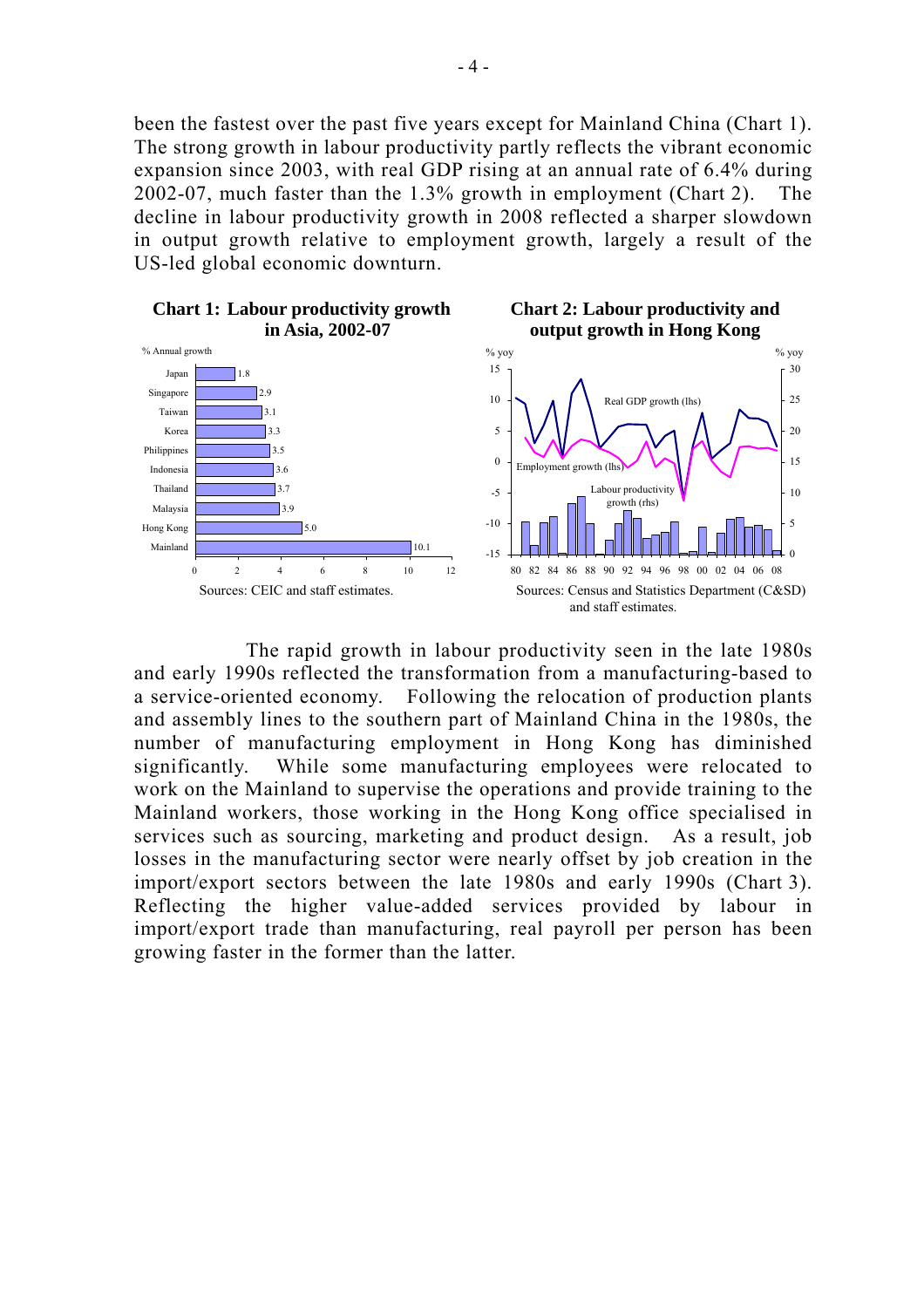been the fastest over the past five years except for Mainland China (Chart 1). The strong growth in labour productivity partly reflects the vibrant economic expansion since 2003, with real GDP rising at an annual rate of 6.4% during 2002-07, much faster than the 1.3% growth in employment (Chart 2). The decline in labour productivity growth in 2008 reflected a sharper slowdown in output growth relative to employment growth, largely a result of the US-led global economic downturn.



 The rapid growth in labour productivity seen in the late 1980s and early 1990s reflected the transformation from a manufacturing-based to a service-oriented economy. Following the relocation of production plants and assembly lines to the southern part of Mainland China in the 1980s, the number of manufacturing employment in Hong Kong has diminished significantly. While some manufacturing employees were relocated to work on the Mainland to supervise the operations and provide training to the Mainland workers, those working in the Hong Kong office specialised in services such as sourcing, marketing and product design. As a result, job losses in the manufacturing sector were nearly offset by job creation in the import/export sectors between the late 1980s and early 1990s (Chart 3). Reflecting the higher value-added services provided by labour in import/export trade than manufacturing, real payroll per person has been growing faster in the former than the latter.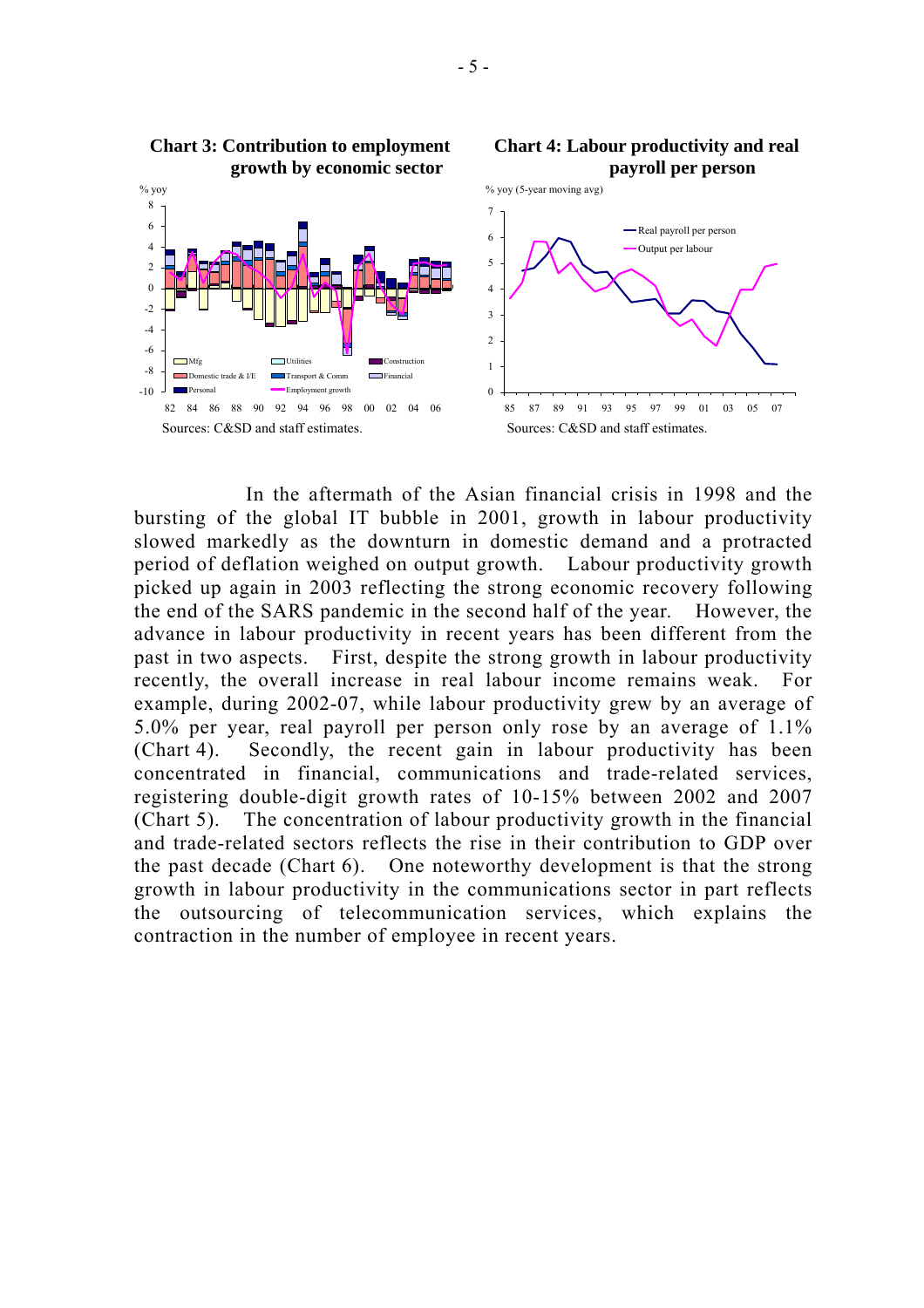

 In the aftermath of the Asian financial crisis in 1998 and the bursting of the global IT bubble in 2001, growth in labour productivity slowed markedly as the downturn in domestic demand and a protracted period of deflation weighed on output growth. Labour productivity growth picked up again in 2003 reflecting the strong economic recovery following the end of the SARS pandemic in the second half of the year. However, the advance in labour productivity in recent years has been different from the past in two aspects. First, despite the strong growth in labour productivity recently, the overall increase in real labour income remains weak. For example, during 2002-07, while labour productivity grew by an average of 5.0% per year, real payroll per person only rose by an average of 1.1% (Chart 4). Secondly, the recent gain in labour productivity has been concentrated in financial, communications and trade-related services, registering double-digit growth rates of 10-15% between 2002 and 2007 (Chart 5). The concentration of labour productivity growth in the financial and trade-related sectors reflects the rise in their contribution to GDP over the past decade (Chart 6). One noteworthy development is that the strong growth in labour productivity in the communications sector in part reflects the outsourcing of telecommunication services, which explains the contraction in the number of employee in recent years.

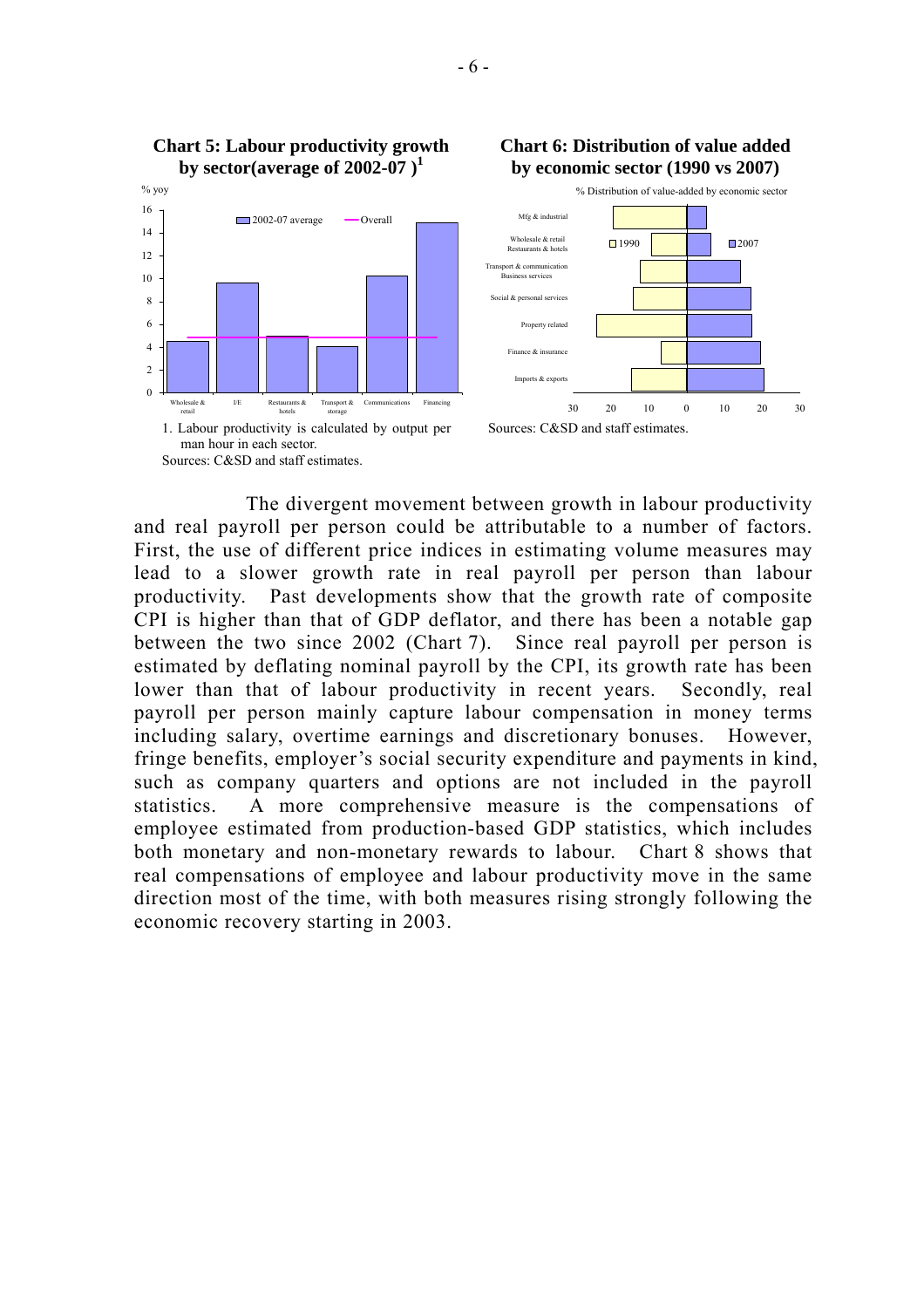

 The divergent movement between growth in labour productivity and real payroll per person could be attributable to a number of factors. First, the use of different price indices in estimating volume measures may lead to a slower growth rate in real payroll per person than labour productivity. Past developments show that the growth rate of composite CPI is higher than that of GDP deflator, and there has been a notable gap between the two since 2002 (Chart 7). Since real payroll per person is estimated by deflating nominal payroll by the CPI, its growth rate has been lower than that of labour productivity in recent years. Secondly, real payroll per person mainly capture labour compensation in money terms including salary, overtime earnings and discretionary bonuses. However, fringe benefits, employer's social security expenditure and payments in kind, such as company quarters and options are not included in the payroll statistics. A more comprehensive measure is the compensations of employee estimated from production-based GDP statistics, which includes both monetary and non-monetary rewards to labour. Chart 8 shows that real compensations of employee and labour productivity move in the same direction most of the time, with both measures rising strongly following the economic recovery starting in 2003.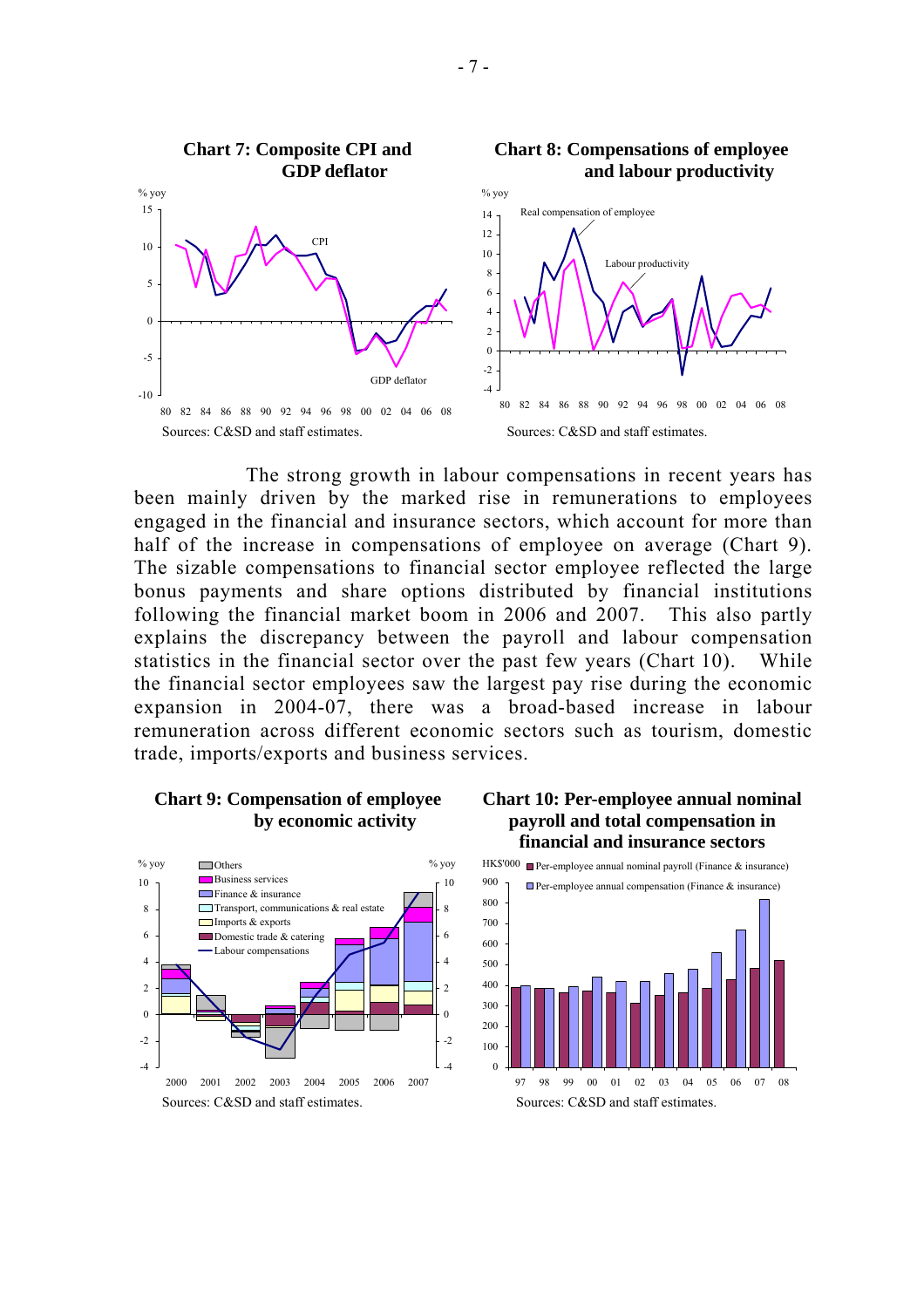

 The strong growth in labour compensations in recent years has been mainly driven by the marked rise in remunerations to employees engaged in the financial and insurance sectors, which account for more than half of the increase in compensations of employee on average (Chart 9). The sizable compensations to financial sector employee reflected the large bonus payments and share options distributed by financial institutions following the financial market boom in 2006 and 2007. This also partly explains the discrepancy between the payroll and labour compensation statistics in the financial sector over the past few years (Chart 10). While the financial sector employees saw the largest pay rise during the economic expansion in 2004-07, there was a broad-based increase in labour remuneration across different economic sectors such as tourism, domestic trade, imports/exports and business services.

## **Chart 9: Compensation of employee by economic activity**



## **Chart 10: Per-employee annual nominal payroll and total compensation in financial and insurance sectors**



# **Chart 8: Compensations of employee**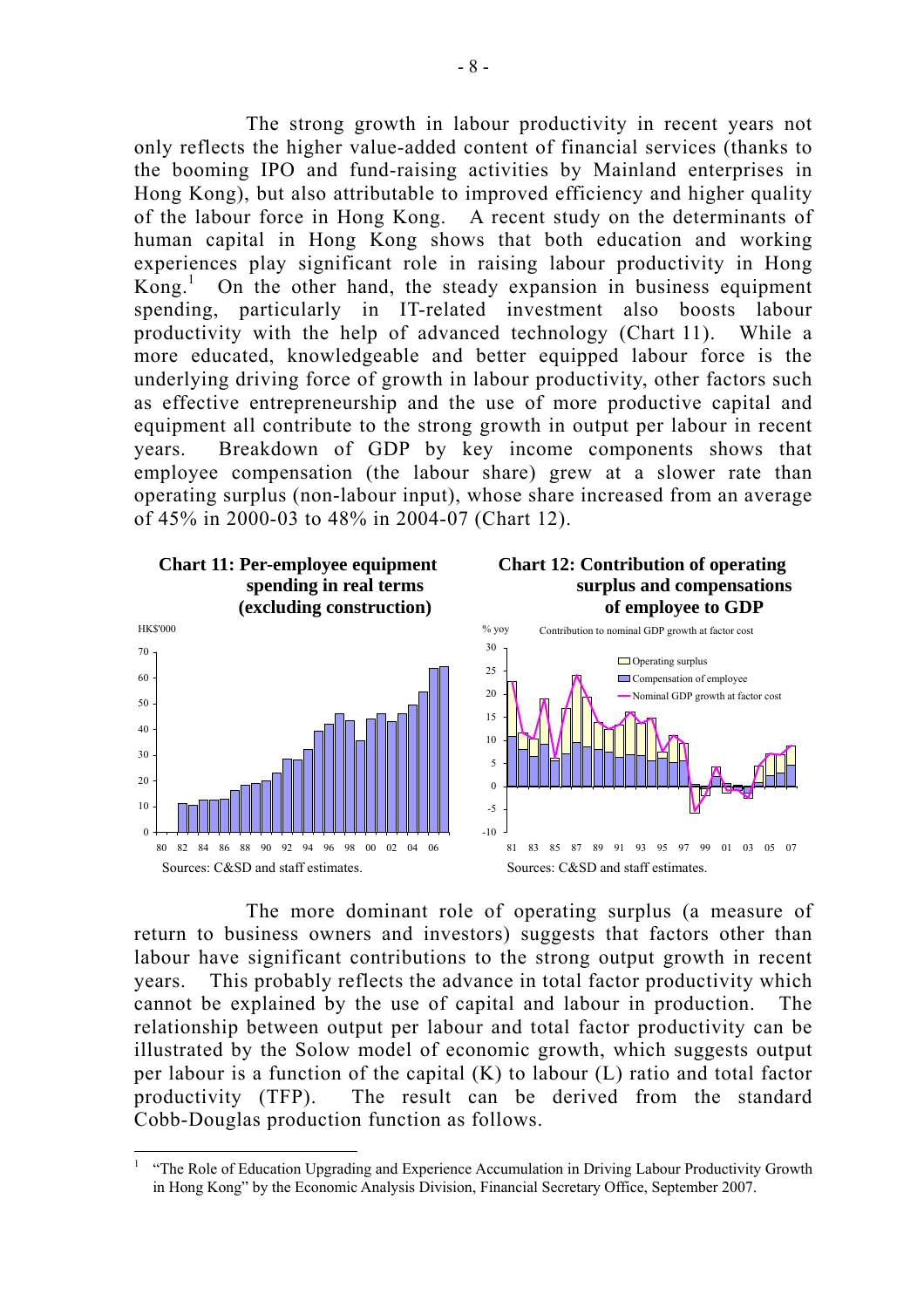The strong growth in labour productivity in recent years not only reflects the higher value-added content of financial services (thanks to the booming IPO and fund-raising activities by Mainland enterprises in Hong Kong), but also attributable to improved efficiency and higher quality of the labour force in Hong Kong. A recent study on the determinants of human capital in Hong Kong shows that both education and working experiences play significant role in raising labour productivity in Hong Kong.<sup>1</sup> On the other hand, the steady expansion in business equipment spending, particularly in IT-related investment also boosts labour productivity with the help of advanced technology (Chart 11). While a more educated, knowledgeable and better equipped labour force is the underlying driving force of growth in labour productivity, other factors such as effective entrepreneurship and the use of more productive capital and equipment all contribute to the strong growth in output per labour in recent years. Breakdown of GDP by key income components shows that employee compensation (the labour share) grew at a slower rate than operating surplus (non-labour input), whose share increased from an average of 45% in 2000-03 to 48% in 2004-07 (Chart 12).



 The more dominant role of operating surplus (a measure of return to business owners and investors) suggests that factors other than labour have significant contributions to the strong output growth in recent years. This probably reflects the advance in total factor productivity which cannot be explained by the use of capital and labour in production. The relationship between output per labour and total factor productivity can be illustrated by the Solow model of economic growth, which suggests output per labour is a function of the capital (K) to labour (L) ratio and total factor productivity (TFP). The result can be derived from the standard Cobb-Douglas production function as follows.

<sup>1</sup> "The Role of Education Upgrading and Experience Accumulation in Driving Labour Productivity Growth in Hong Kong" by the Economic Analysis Division, Financial Secretary Office, September 2007.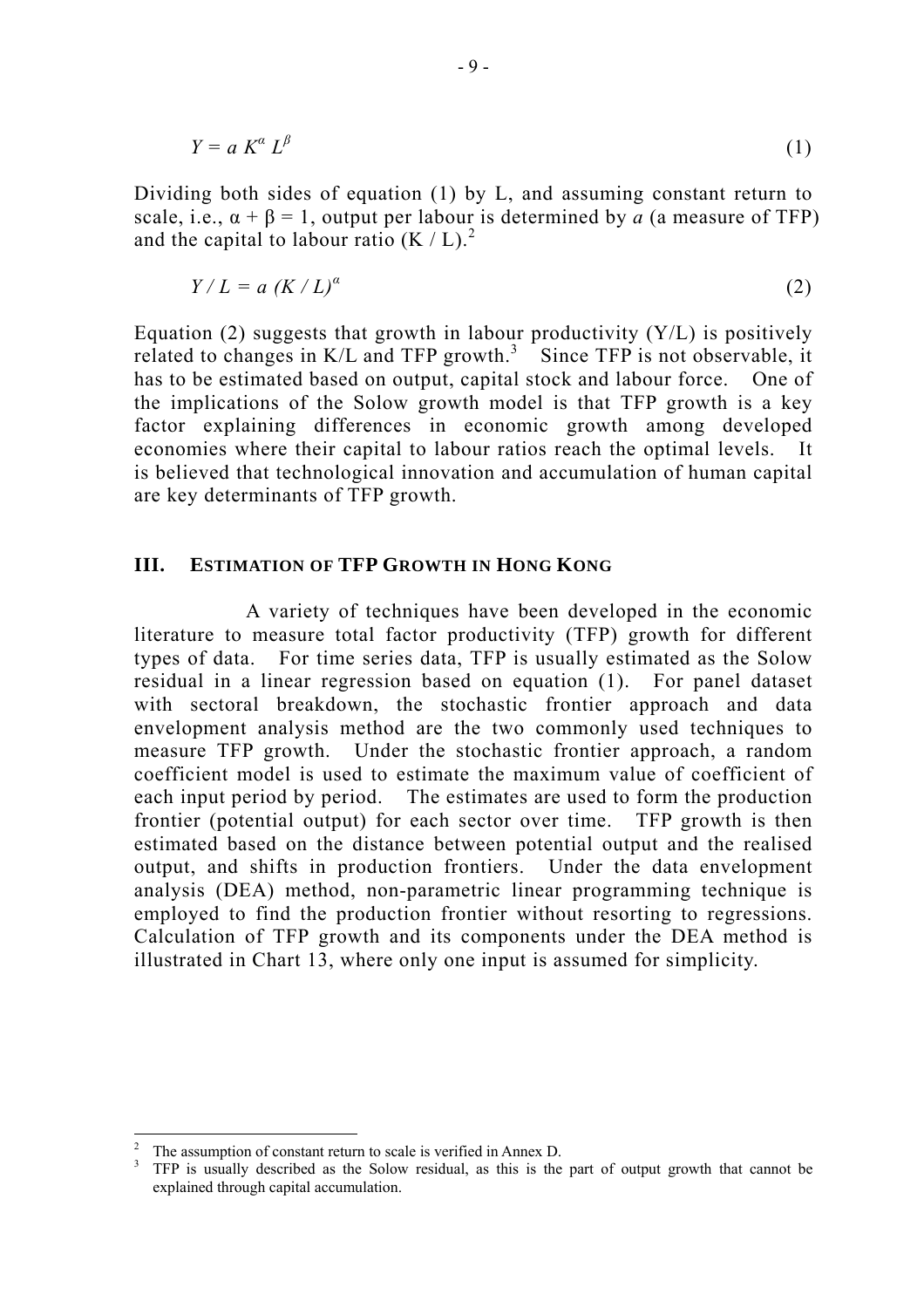$$
Y = a K^a L^{\beta} \tag{1}
$$

Dividing both sides of equation (1) by L, and assuming constant return to scale, i.e.,  $\alpha + \beta = 1$ , output per labour is determined by *a* (a measure of TFP) and the capital to labour ratio  $(K/L)<sup>2</sup>$ .

$$
Y/L = a (K/L)^a \tag{2}
$$

Equation (2) suggests that growth in labour productivity  $(Y/L)$  is positively related to changes in  $K/L$  and TFP growth.<sup>3</sup> Since TFP is not observable, it has to be estimated based on output, capital stock and labour force. One of the implications of the Solow growth model is that TFP growth is a key factor explaining differences in economic growth among developed economies where their capital to labour ratios reach the optimal levels. It is believed that technological innovation and accumulation of human capital are key determinants of TFP growth.

## **III. ESTIMATION OF TFP GROWTH IN HONG KONG**

 A variety of techniques have been developed in the economic literature to measure total factor productivity (TFP) growth for different types of data. For time series data, TFP is usually estimated as the Solow residual in a linear regression based on equation (1). For panel dataset with sectoral breakdown, the stochastic frontier approach and data envelopment analysis method are the two commonly used techniques to measure TFP growth. Under the stochastic frontier approach, a random coefficient model is used to estimate the maximum value of coefficient of each input period by period. The estimates are used to form the production frontier (potential output) for each sector over time. TFP growth is then estimated based on the distance between potential output and the realised output, and shifts in production frontiers. Under the data envelopment analysis (DEA) method, non-parametric linear programming technique is employed to find the production frontier without resorting to regressions. Calculation of TFP growth and its components under the DEA method is illustrated in Chart 13, where only one input is assumed for simplicity.

<sup>2</sup> The assumption of constant return to scale is verified in Annex D.

<sup>&</sup>lt;sup>3</sup> TFP is usually described as the Solow residual, as this is the part of output growth that cannot be explained through capital accumulation.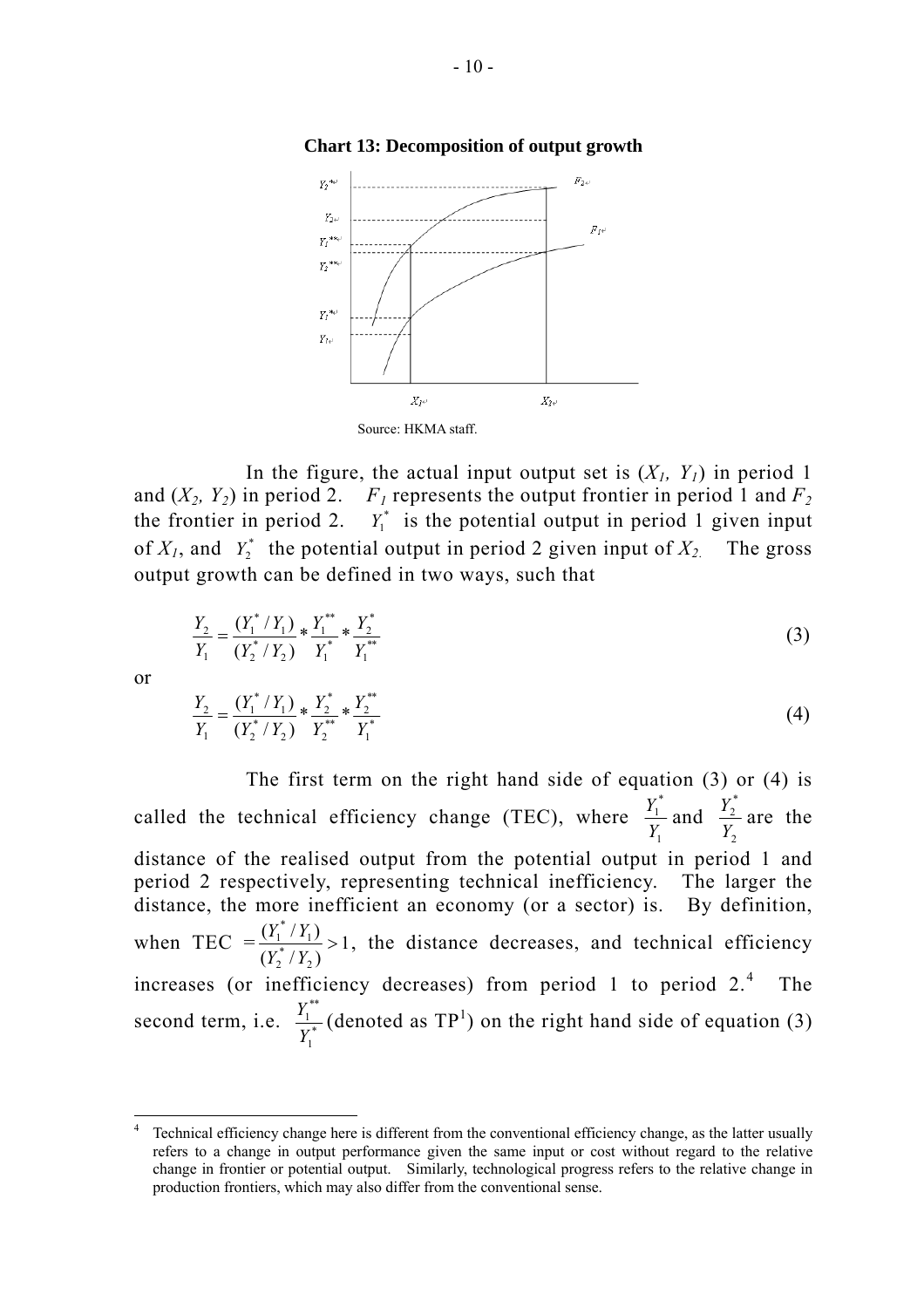



In the figure, the actual input output set is  $(X_1, Y_1)$  in period 1 and  $(X_2, Y_2)$  in period 2.  $F_1$  represents the output frontier in period 1 and  $F_2$ the frontier in period 2.  $Y_1^*$  is the potential output in period 1 given input of  $X_1$ , and  $Y_2^*$  the potential output in period 2 given input of  $X_2$ . The gross output growth can be defined in two ways, such that

$$
\frac{Y_2}{Y_1} = \frac{(Y_1^* / Y_1)}{(Y_2^* / Y_2)} * \frac{Y_1^{**}}{Y_1^*} * \frac{Y_2^*}{Y_1^{**}}
$$
\n(3)

or

 $\overline{a}$ 

$$
\frac{Y_2}{Y_1} = \frac{(Y_1^* / Y_1)}{(Y_2^* / Y_2)} * \frac{Y_2^*}{Y_2^{**}} * \frac{Y_2^{**}}{Y_1^{*}}
$$
\n
$$
\tag{4}
$$

 The first term on the right hand side of equation (3) or (4) is called the technical efficiency change (TEC), where 1 \* 1 *Y*  $\frac{Y_1^*}{X}$  and 2 \* 2 *Y*  $\frac{Y_2^*}{Y}$  are the distance of the realised output from the potential output in period 1 and period 2 respectively, representing technical inefficiency. The larger the distance, the more inefficient an economy (or a sector) is. By definition, when TEC  $=\frac{(1+i)^{1}}{(x+i)^{1}} > 1$  $(Y_2^*/Y_2)$  $(Y_1^*/Y_1)$ 2 \* 2 1 \*  $\frac{1}{1}$   $\frac{1}{1}$  > *Y Y*  $\frac{Y_1^* / Y_1}{X_1^* / X_2}$  >1, the distance decreases, and technical efficiency increases (or inefficiency decreases) from period 1 to period 2. <sup>4</sup> The second term, i.e.  $\frac{I_1}{V^*}$ 1 \*\* 1 *Y*  $\frac{Y_1^{**}}{X_2^{**}}$  (denoted as TP<sup>1</sup>) on the right hand side of equation (3)

<sup>4</sup> Technical efficiency change here is different from the conventional efficiency change, as the latter usually refers to a change in output performance given the same input or cost without regard to the relative change in frontier or potential output. Similarly, technological progress refers to the relative change in production frontiers, which may also differ from the conventional sense.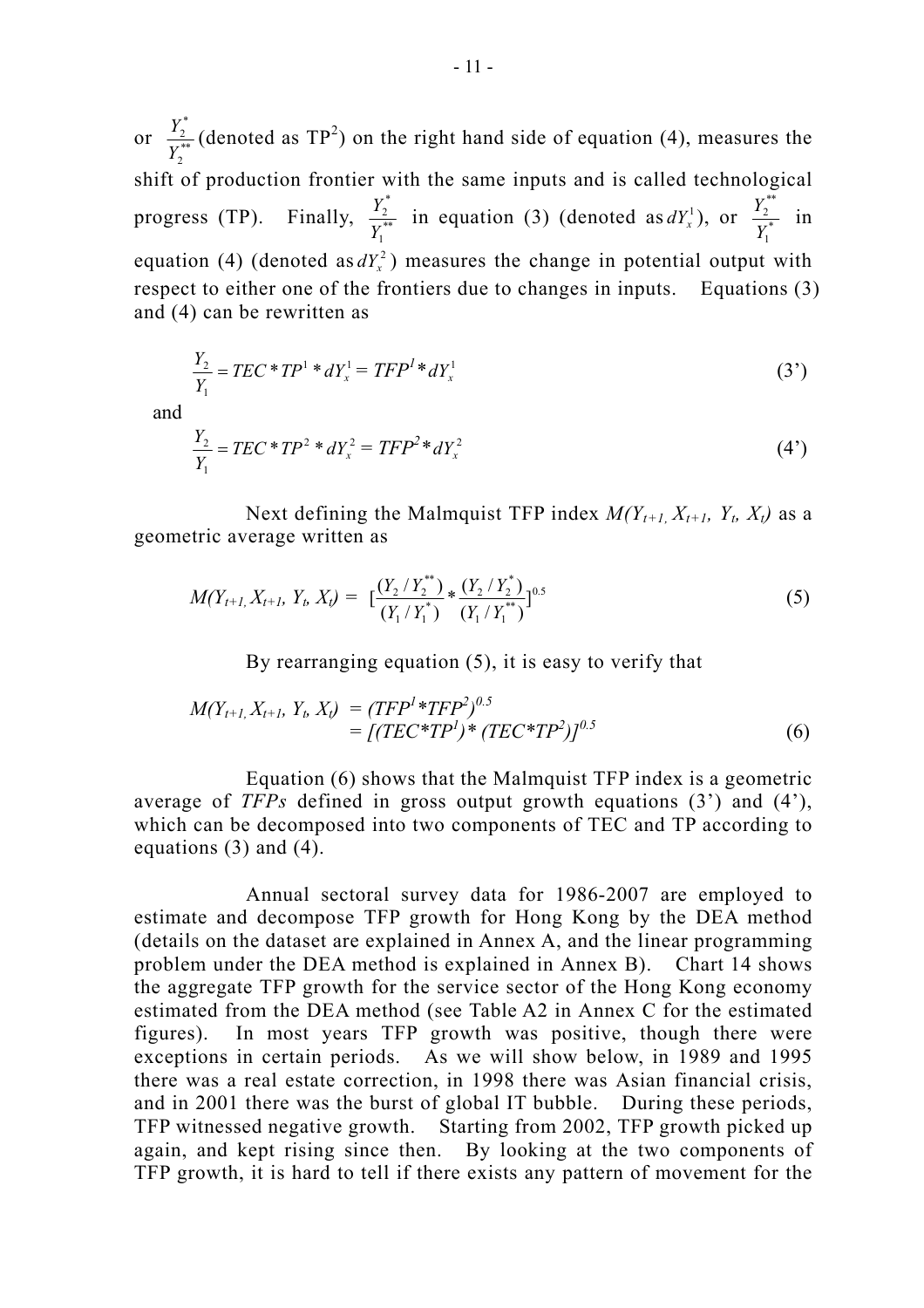or  $\frac{1}{v^{**}}$ 2 \* 2 *Y*  $\frac{Y_2^*}{X_{\text{max}}}$  (denoted as TP<sup>2</sup>) on the right hand side of equation (4), measures the shift of production frontier with the same inputs and is called technological progress (TP). Finally,  $\frac{r_2}{V^{**}}$ 1 \* 2  $\frac{Y_2^*}{Y_1^{**}}$  in equation (3) (denoted as  $dY_x^1$ ), or  $\frac{Y_2^{**}}{Y_1^*}$ 1 \*\* 2 *Y*  $\frac{Y_2^{**}}{Y}$  in equation (4) (denoted as  $dY<sub>x</sub><sup>2</sup>$ ) measures the change in potential output with respect to either one of the frontiers due to changes in inputs. Equations (3) and (4) can be rewritten as

$$
\frac{Y_2}{Y_1} = TEC * TP^1 * dY_x^1 = TFP^1 * dY_x^1 \tag{3'}
$$

and

$$
\frac{Y_2}{Y_1} = TEC * TP^2 * dY_x^2 = TFP^2 * dY_x^2 \tag{4'}
$$

Next defining the Malmquist TFP index  $M(Y_{t+1}, X_{t+1}, Y_t, X_t)$  as a geometric average written as

$$
M(Y_{t+1}, X_{t+1}, Y_t, X_t) = \left[ \frac{(Y_2 / Y_2^{**})}{(Y_1 / Y_1^{*})} * \frac{(Y_2 / Y_2^{*})}{(Y_1 / Y_1^{**})} \right]^{0.5}
$$
(5)

By rearranging equation (5), it is easy to verify that

$$
M(Y_{t+1}, X_{t+1}, Y_t, X_t) = (TFP^1 * TFP^2)^{0.5}
$$
  
= [(TEC \* TP<sup>1</sup>) \* (TEC \* TP<sup>2</sup>)]<sup>0.5</sup> (6)

 Equation (6) shows that the Malmquist TFP index is a geometric average of *TFPs* defined in gross output growth equations (3') and (4'), which can be decomposed into two components of TEC and TP according to equations (3) and (4).

 Annual sectoral survey data for 1986-2007 are employed to estimate and decompose TFP growth for Hong Kong by the DEA method (details on the dataset are explained in Annex A, and the linear programming problem under the DEA method is explained in Annex B). Chart 14 shows the aggregate TFP growth for the service sector of the Hong Kong economy estimated from the DEA method (see Table A2 in Annex C for the estimated figures). In most years TFP growth was positive, though there were exceptions in certain periods. As we will show below, in 1989 and 1995 there was a real estate correction, in 1998 there was Asian financial crisis, and in 2001 there was the burst of global IT bubble. During these periods, TFP witnessed negative growth. Starting from 2002, TFP growth picked up again, and kept rising since then. By looking at the two components of TFP growth, it is hard to tell if there exists any pattern of movement for the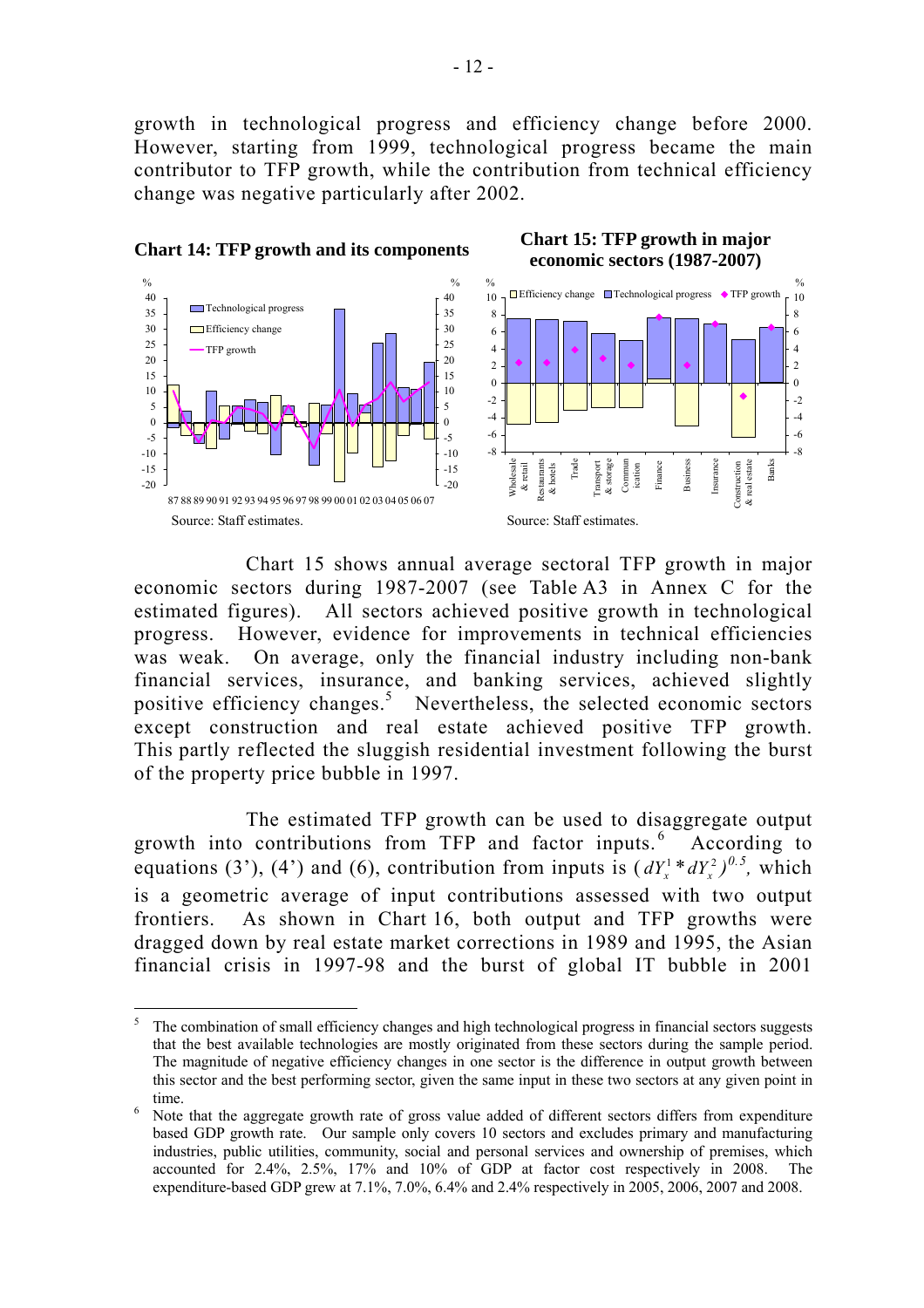growth in technological progress and efficiency change before 2000. However, starting from 1999, technological progress became the main contributor to TFP growth, while the contribution from technical efficiency change was negative particularly after 2002.



 Chart 15 shows annual average sectoral TFP growth in major economic sectors during 1987-2007 (see Table A3 in Annex C for the estimated figures). All sectors achieved positive growth in technological progress. However, evidence for improvements in technical efficiencies was weak. On average, only the financial industry including non-bank financial services, insurance, and banking services, achieved slightly positive efficiency changes.<sup>5</sup> Nevertheless, the selected economic sectors except construction and real estate achieved positive TFP growth. This partly reflected the sluggish residential investment following the burst of the property price bubble in 1997.

 The estimated TFP growth can be used to disaggregate output growth into contributions from TFP and factor inputs.<sup>6</sup> According to equations (3'), (4') and (6), contribution from inputs is  $(dY_x^1 * dY_x^2)^{0.5}$ , which is a geometric average of input contributions assessed with two output frontiers. As shown in Chart 16, both output and TFP growths were dragged down by real estate market corrections in 1989 and 1995, the Asian financial crisis in 1997-98 and the burst of global IT bubble in 2001

<sup>5</sup> The combination of small efficiency changes and high technological progress in financial sectors suggests that the best available technologies are mostly originated from these sectors during the sample period. The magnitude of negative efficiency changes in one sector is the difference in output growth between this sector and the best performing sector, given the same input in these two sectors at any given point in time.

Note that the aggregate growth rate of gross value added of different sectors differs from expenditure based GDP growth rate. Our sample only covers 10 sectors and excludes primary and manufacturing industries, public utilities, community, social and personal services and ownership of premises, which accounted for 2.4%, 2.5%, 17% and 10% of GDP at factor cost respectively in 2008. The expenditure-based GDP grew at 7.1%, 7.0%, 6.4% and 2.4% respectively in 2005, 2006, 2007 and 2008.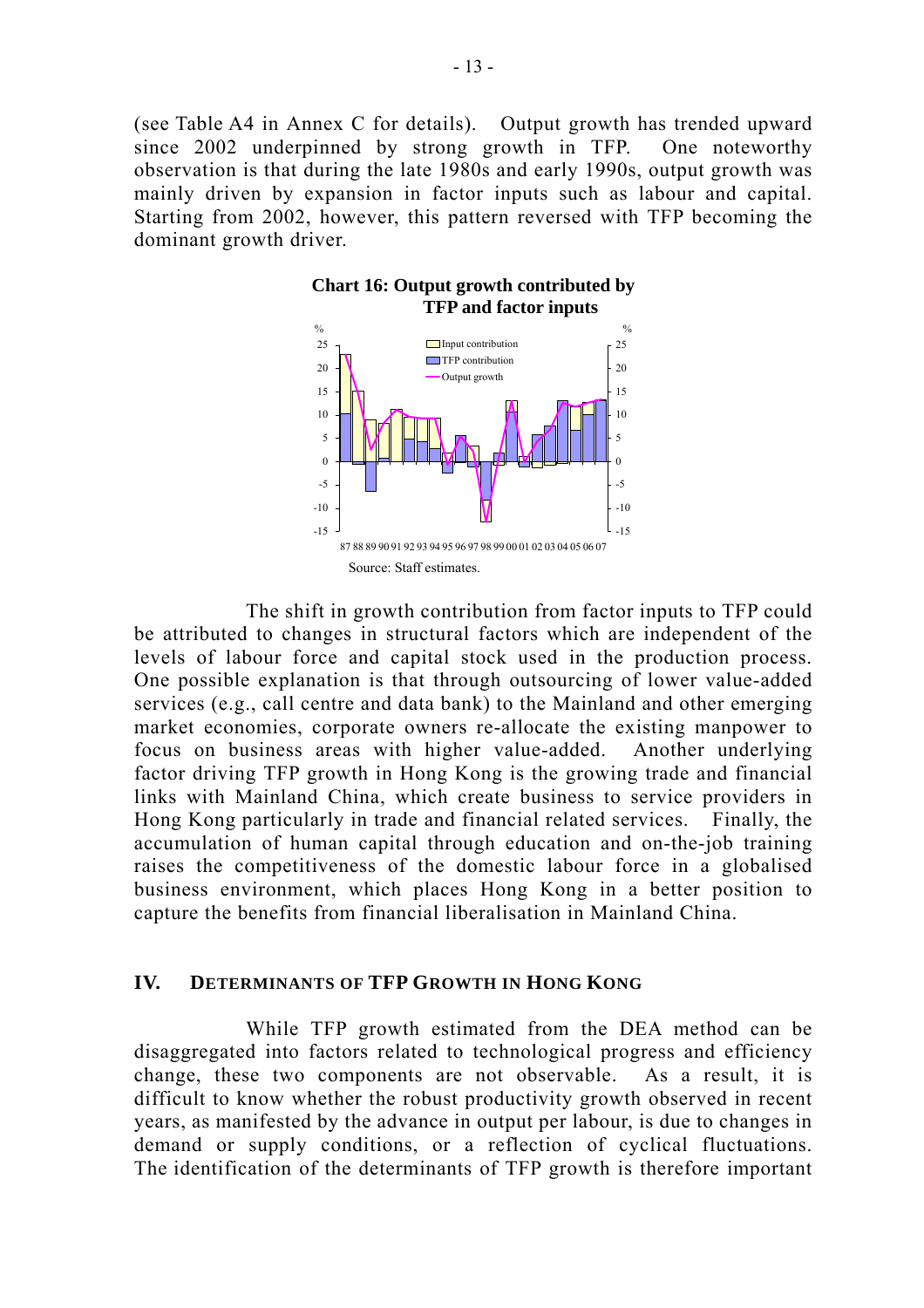(see Table A4 in Annex C for details). Output growth has trended upward since 2002 underpinned by strong growth in TFP. One noteworthy observation is that during the late 1980s and early 1990s, output growth was mainly driven by expansion in factor inputs such as labour and capital. Starting from 2002, however, this pattern reversed with TFP becoming the dominant growth driver.



 The shift in growth contribution from factor inputs to TFP could be attributed to changes in structural factors which are independent of the levels of labour force and capital stock used in the production process. One possible explanation is that through outsourcing of lower value-added services (e.g., call centre and data bank) to the Mainland and other emerging market economies, corporate owners re-allocate the existing manpower to focus on business areas with higher value-added. Another underlying factor driving TFP growth in Hong Kong is the growing trade and financial links with Mainland China, which create business to service providers in Hong Kong particularly in trade and financial related services. Finally, the accumulation of human capital through education and on-the-job training raises the competitiveness of the domestic labour force in a globalised business environment, which places Hong Kong in a better position to capture the benefits from financial liberalisation in Mainland China.

## **IV. DETERMINANTS OF TFP GROWTH IN HONG KONG**

 While TFP growth estimated from the DEA method can be disaggregated into factors related to technological progress and efficiency change, these two components are not observable. As a result, it is difficult to know whether the robust productivity growth observed in recent years, as manifested by the advance in output per labour, is due to changes in demand or supply conditions, or a reflection of cyclical fluctuations. The identification of the determinants of TFP growth is therefore important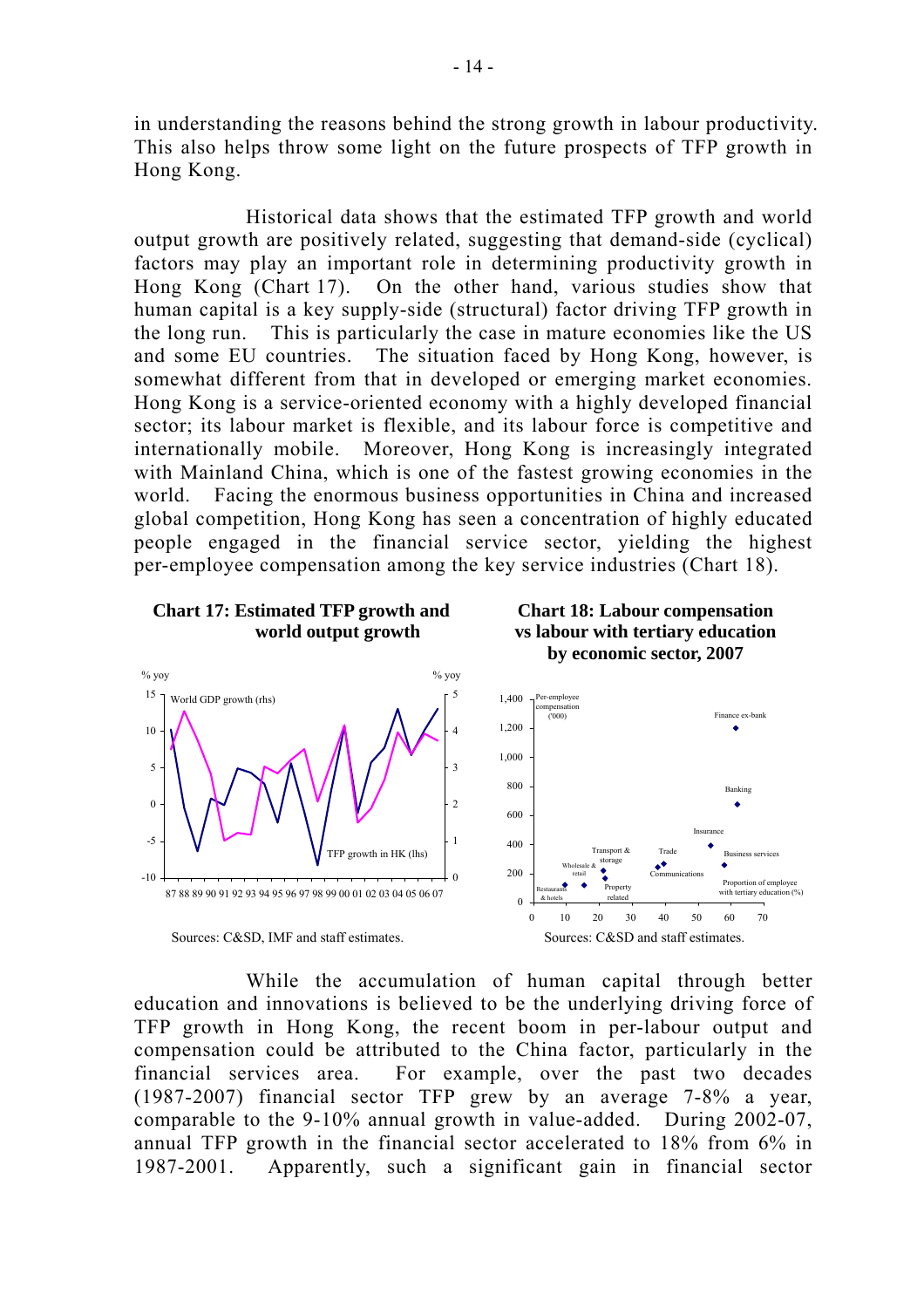in understanding the reasons behind the strong growth in labour productivity. This also helps throw some light on the future prospects of TFP growth in Hong Kong.

 Historical data shows that the estimated TFP growth and world output growth are positively related, suggesting that demand-side (cyclical) factors may play an important role in determining productivity growth in Hong Kong (Chart 17). On the other hand, various studies show that human capital is a key supply-side (structural) factor driving TFP growth in the long run. This is particularly the case in mature economies like the US and some EU countries. The situation faced by Hong Kong, however, is somewhat different from that in developed or emerging market economies. Hong Kong is a service-oriented economy with a highly developed financial sector; its labour market is flexible, and its labour force is competitive and internationally mobile. Moreover, Hong Kong is increasingly integrated with Mainland China, which is one of the fastest growing economies in the world. Facing the enormous business opportunities in China and increased global competition, Hong Kong has seen a concentration of highly educated people engaged in the financial service sector, yielding the highest per-employee compensation among the key service industries (Chart 18).



 While the accumulation of human capital through better education and innovations is believed to be the underlying driving force of TFP growth in Hong Kong, the recent boom in per-labour output and compensation could be attributed to the China factor, particularly in the financial services area. For example, over the past two decades (1987-2007) financial sector TFP grew by an average 7-8% a year, comparable to the 9-10% annual growth in value-added. During 2002-07, annual TFP growth in the financial sector accelerated to 18% from 6% in 1987-2001. Apparently, such a significant gain in financial sector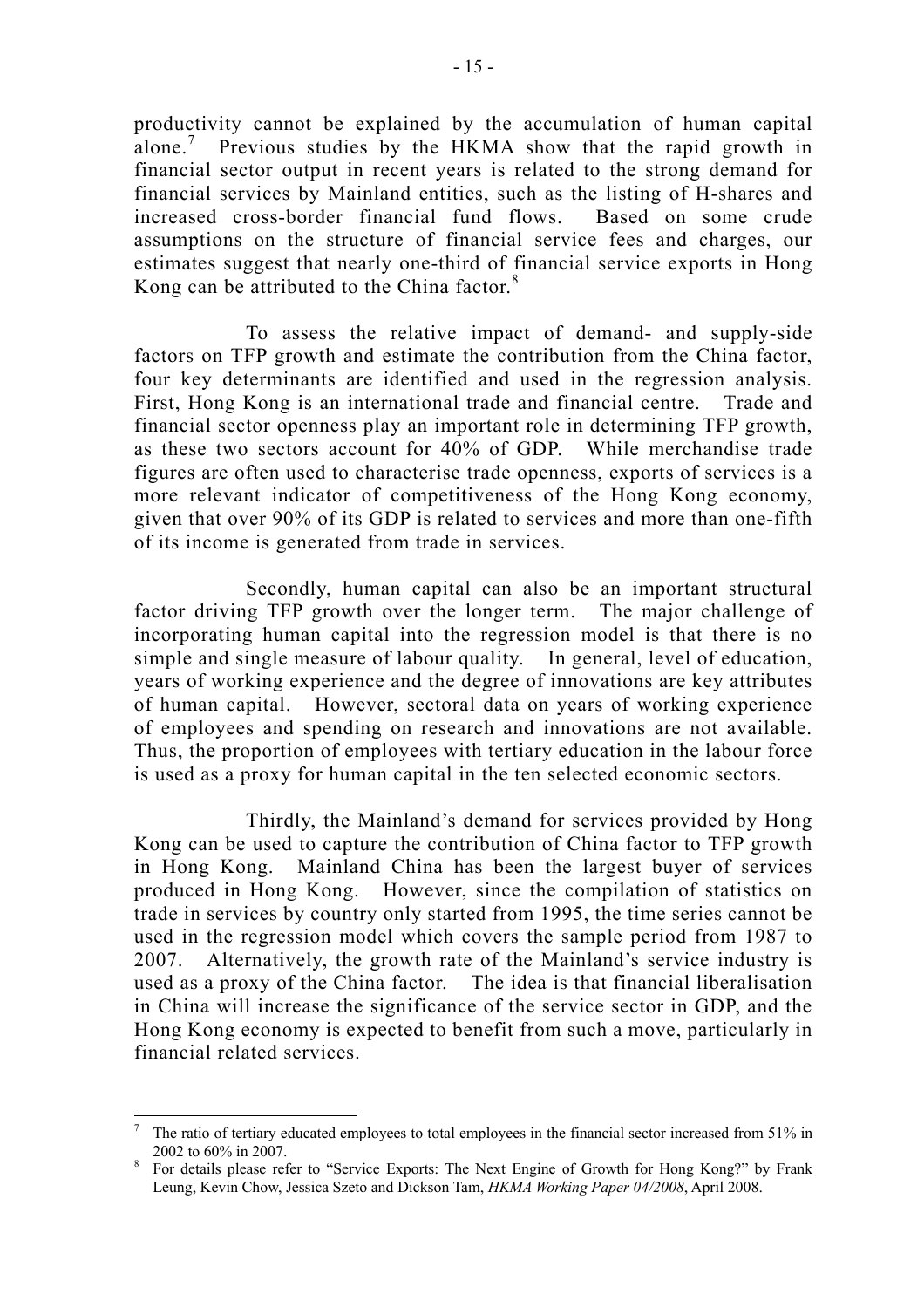productivity cannot be explained by the accumulation of human capital alone.<sup>7</sup> Previous studies by the HKMA show that the rapid growth in financial sector output in recent years is related to the strong demand for financial services by Mainland entities, such as the listing of H-shares and increased cross-border financial fund flows. Based on some crude assumptions on the structure of financial service fees and charges, our estimates suggest that nearly one-third of financial service exports in Hong Kong can be attributed to the China factor.<sup>8</sup>

 To assess the relative impact of demand- and supply-side factors on TFP growth and estimate the contribution from the China factor, four key determinants are identified and used in the regression analysis. First, Hong Kong is an international trade and financial centre. Trade and financial sector openness play an important role in determining TFP growth, as these two sectors account for 40% of GDP. While merchandise trade figures are often used to characterise trade openness, exports of services is a more relevant indicator of competitiveness of the Hong Kong economy, given that over 90% of its GDP is related to services and more than one-fifth of its income is generated from trade in services.

 Secondly, human capital can also be an important structural factor driving TFP growth over the longer term. The major challenge of incorporating human capital into the regression model is that there is no simple and single measure of labour quality. In general, level of education, years of working experience and the degree of innovations are key attributes of human capital. However, sectoral data on years of working experience of employees and spending on research and innovations are not available. Thus, the proportion of employees with tertiary education in the labour force is used as a proxy for human capital in the ten selected economic sectors.

 Thirdly, the Mainland's demand for services provided by Hong Kong can be used to capture the contribution of China factor to TFP growth in Hong Kong. Mainland China has been the largest buyer of services produced in Hong Kong. However, since the compilation of statistics on trade in services by country only started from 1995, the time series cannot be used in the regression model which covers the sample period from 1987 to 2007. Alternatively, the growth rate of the Mainland's service industry is used as a proxy of the China factor. The idea is that financial liberalisation in China will increase the significance of the service sector in GDP, and the Hong Kong economy is expected to benefit from such a move, particularly in financial related services.

<sup>7</sup> The ratio of tertiary educated employees to total employees in the financial sector increased from 51% in 2002 to  $60\%$  in 2007.

For details please refer to "Service Exports: The Next Engine of Growth for Hong Kong?" by Frank Leung, Kevin Chow, Jessica Szeto and Dickson Tam, *HKMA Working Paper 04/2008*, April 2008.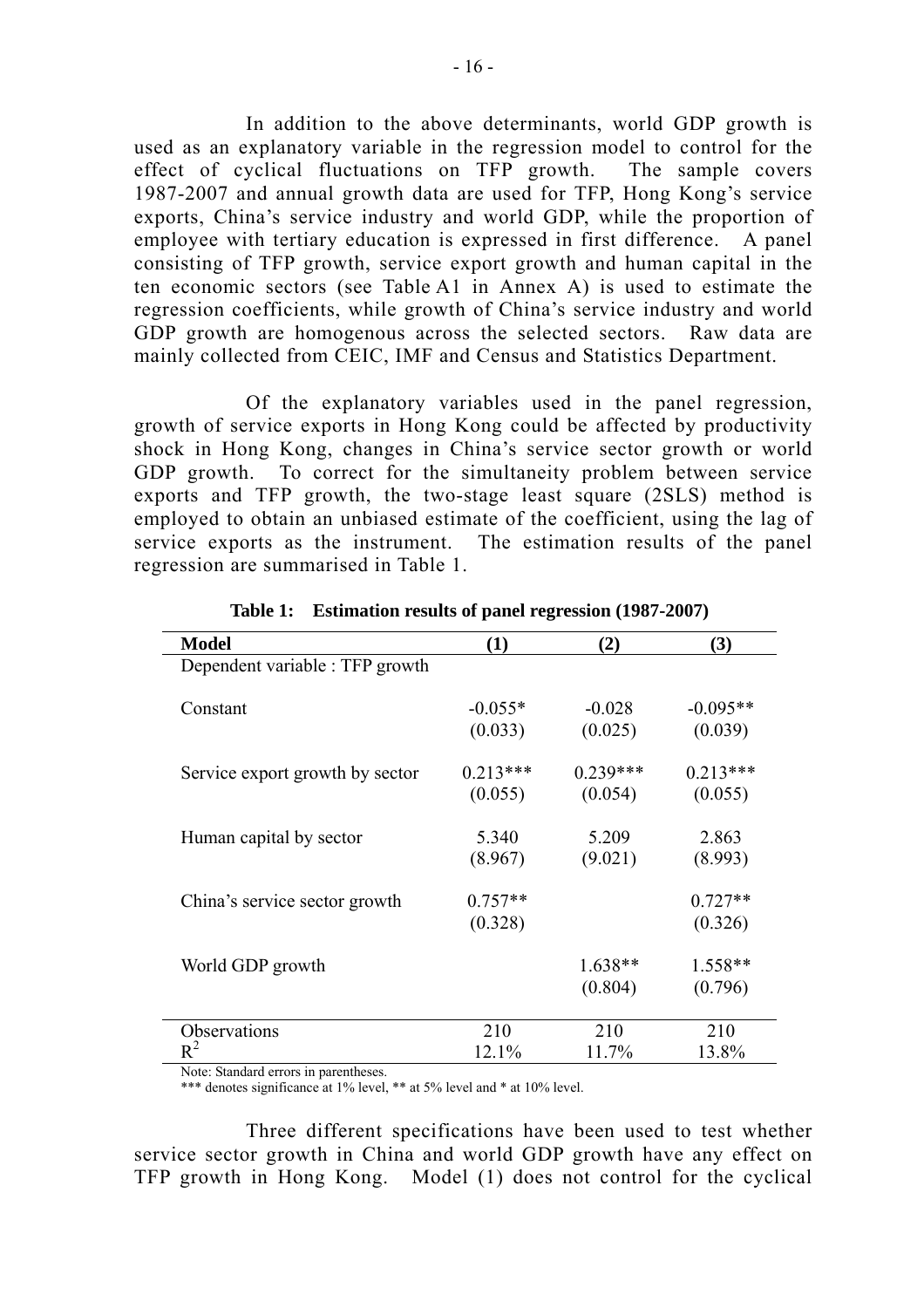In addition to the above determinants, world GDP growth is used as an explanatory variable in the regression model to control for the effect of cyclical fluctuations on TFP growth. The sample covers 1987-2007 and annual growth data are used for TFP, Hong Kong's service exports, China's service industry and world GDP, while the proportion of employee with tertiary education is expressed in first difference. A panel consisting of TFP growth, service export growth and human capital in the ten economic sectors (see Table A1 in Annex A) is used to estimate the regression coefficients, while growth of China's service industry and world GDP growth are homogenous across the selected sectors. Raw data are mainly collected from CEIC, IMF and Census and Statistics Department.

 Of the explanatory variables used in the panel regression, growth of service exports in Hong Kong could be affected by productivity shock in Hong Kong, changes in China's service sector growth or world GDP growth. To correct for the simultaneity problem between service exports and TFP growth, the two-stage least square (2SLS) method is employed to obtain an unbiased estimate of the coefficient, using the lag of service exports as the instrument. The estimation results of the panel regression are summarised in Table 1.

| <b>Model</b>                    | (1)                  | (2)                  | (3)                  |
|---------------------------------|----------------------|----------------------|----------------------|
| Dependent variable : TFP growth |                      |                      |                      |
| Constant                        | $-0.055*$            | $-0.028$             | $-0.095**$           |
|                                 | (0.033)              | (0.025)              | (0.039)              |
| Service export growth by sector | $0.213***$           | $0.239***$           | $0.213***$           |
|                                 | (0.055)              | (0.054)              | (0.055)              |
| Human capital by sector         | 5.340                | 5.209                | 2.863                |
|                                 | (8.967)              | (9.021)              | (8.993)              |
| China's service sector growth   | $0.757**$<br>(0.328) |                      | $0.727**$<br>(0.326) |
| World GDP growth                |                      | $1.638**$<br>(0.804) | 1.558**<br>(0.796)   |
| Observations                    | 210                  | 210                  | 210                  |
| $R^2$                           | 12.1%                | 11.7%                | 13.8%                |

**Table 1: Estimation results of panel regression (1987-2007)** 

Note: Standard errors in parentheses.

\*\*\* denotes significance at 1% level, \*\* at 5% level and \* at 10% level.

 Three different specifications have been used to test whether service sector growth in China and world GDP growth have any effect on TFP growth in Hong Kong. Model (1) does not control for the cyclical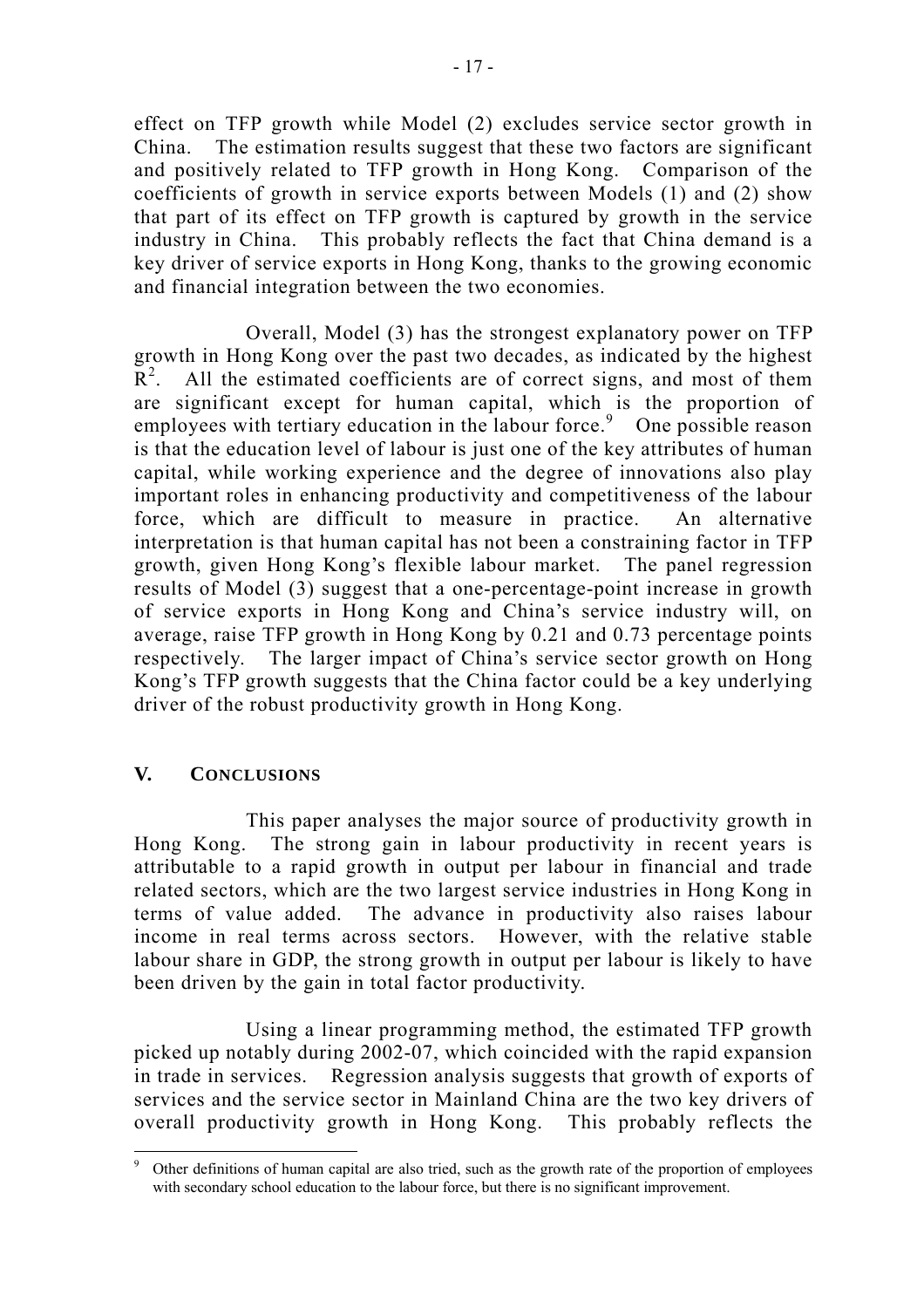effect on TFP growth while Model (2) excludes service sector growth in China. The estimation results suggest that these two factors are significant and positively related to TFP growth in Hong Kong. Comparison of the coefficients of growth in service exports between Models (1) and (2) show that part of its effect on TFP growth is captured by growth in the service industry in China. This probably reflects the fact that China demand is a key driver of service exports in Hong Kong, thanks to the growing economic and financial integration between the two economies.

 Overall, Model (3) has the strongest explanatory power on TFP growth in Hong Kong over the past two decades, as indicated by the highest  $R^2$ . All the estimated coefficients are of correct signs, and most of them are significant except for human capital, which is the proportion of employees with tertiary education in the labour force.<sup>9</sup> One possible reason is that the education level of labour is just one of the key attributes of human capital, while working experience and the degree of innovations also play important roles in enhancing productivity and competitiveness of the labour force, which are difficult to measure in practice. An alternative interpretation is that human capital has not been a constraining factor in TFP growth, given Hong Kong's flexible labour market. The panel regression results of Model (3) suggest that a one-percentage-point increase in growth of service exports in Hong Kong and China's service industry will, on average, raise TFP growth in Hong Kong by 0.21 and 0.73 percentage points respectively. The larger impact of China's service sector growth on Hong Kong's TFP growth suggests that the China factor could be a key underlying driver of the robust productivity growth in Hong Kong.

## **V. CONCLUSIONS**

 This paper analyses the major source of productivity growth in Hong Kong. The strong gain in labour productivity in recent years is attributable to a rapid growth in output per labour in financial and trade related sectors, which are the two largest service industries in Hong Kong in terms of value added. The advance in productivity also raises labour income in real terms across sectors. However, with the relative stable labour share in GDP, the strong growth in output per labour is likely to have been driven by the gain in total factor productivity.

 Using a linear programming method, the estimated TFP growth picked up notably during 2002-07, which coincided with the rapid expansion in trade in services. Regression analysis suggests that growth of exports of services and the service sector in Mainland China are the two key drivers of overall productivity growth in Hong Kong. This probably reflects the

 $\overline{a}$ 9 Other definitions of human capital are also tried, such as the growth rate of the proportion of employees with secondary school education to the labour force, but there is no significant improvement.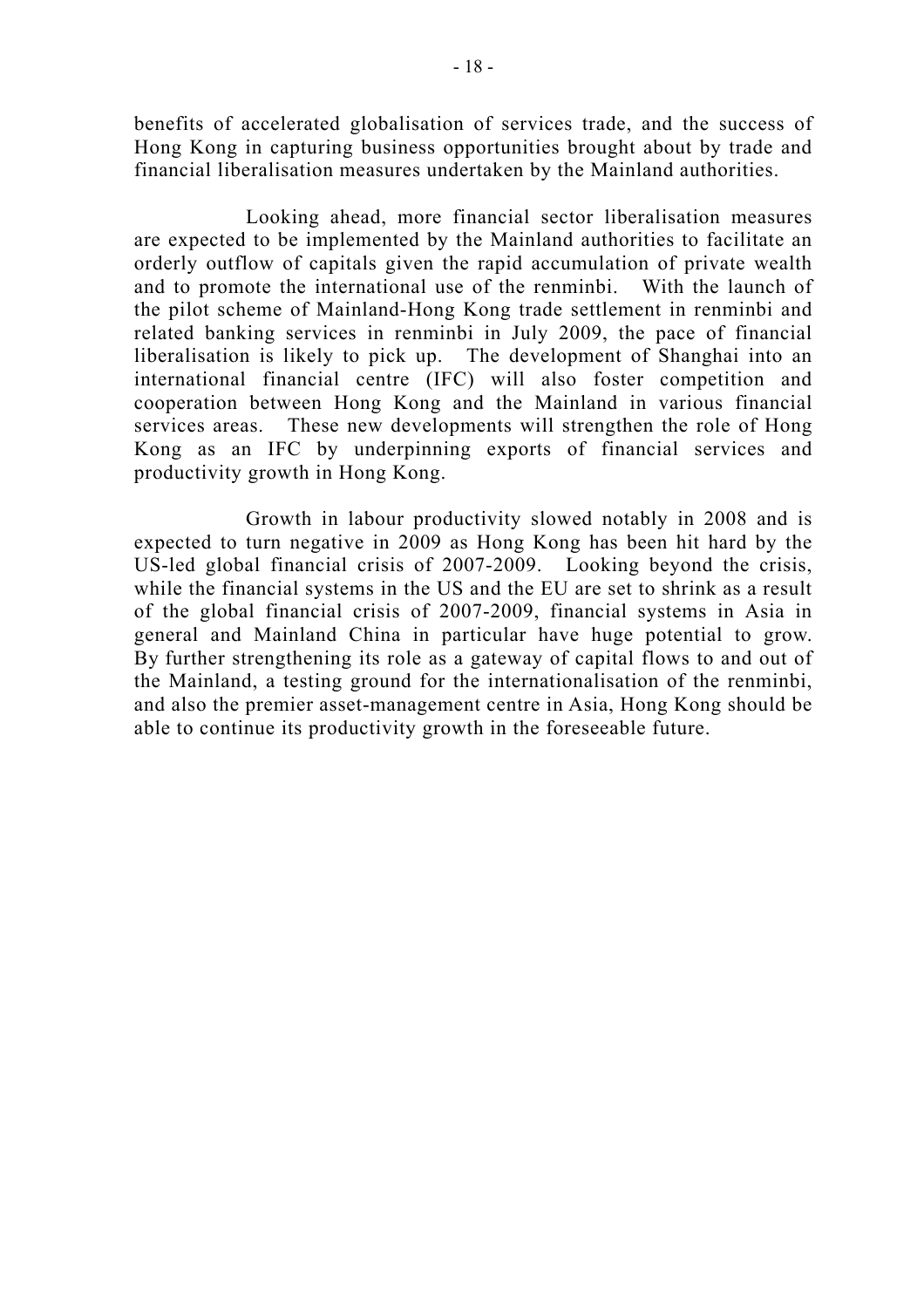benefits of accelerated globalisation of services trade, and the success of Hong Kong in capturing business opportunities brought about by trade and financial liberalisation measures undertaken by the Mainland authorities.

 Looking ahead, more financial sector liberalisation measures are expected to be implemented by the Mainland authorities to facilitate an orderly outflow of capitals given the rapid accumulation of private wealth and to promote the international use of the renminbi. With the launch of the pilot scheme of Mainland-Hong Kong trade settlement in renminbi and related banking services in renminbi in July 2009, the pace of financial liberalisation is likely to pick up. The development of Shanghai into an international financial centre (IFC) will also foster competition and cooperation between Hong Kong and the Mainland in various financial services areas. These new developments will strengthen the role of Hong Kong as an IFC by underpinning exports of financial services and productivity growth in Hong Kong.

 Growth in labour productivity slowed notably in 2008 and is expected to turn negative in 2009 as Hong Kong has been hit hard by the US-led global financial crisis of 2007-2009. Looking beyond the crisis, while the financial systems in the US and the EU are set to shrink as a result of the global financial crisis of 2007-2009, financial systems in Asia in general and Mainland China in particular have huge potential to grow. By further strengthening its role as a gateway of capital flows to and out of the Mainland, a testing ground for the internationalisation of the renminbi, and also the premier asset-management centre in Asia, Hong Kong should be able to continue its productivity growth in the foreseeable future.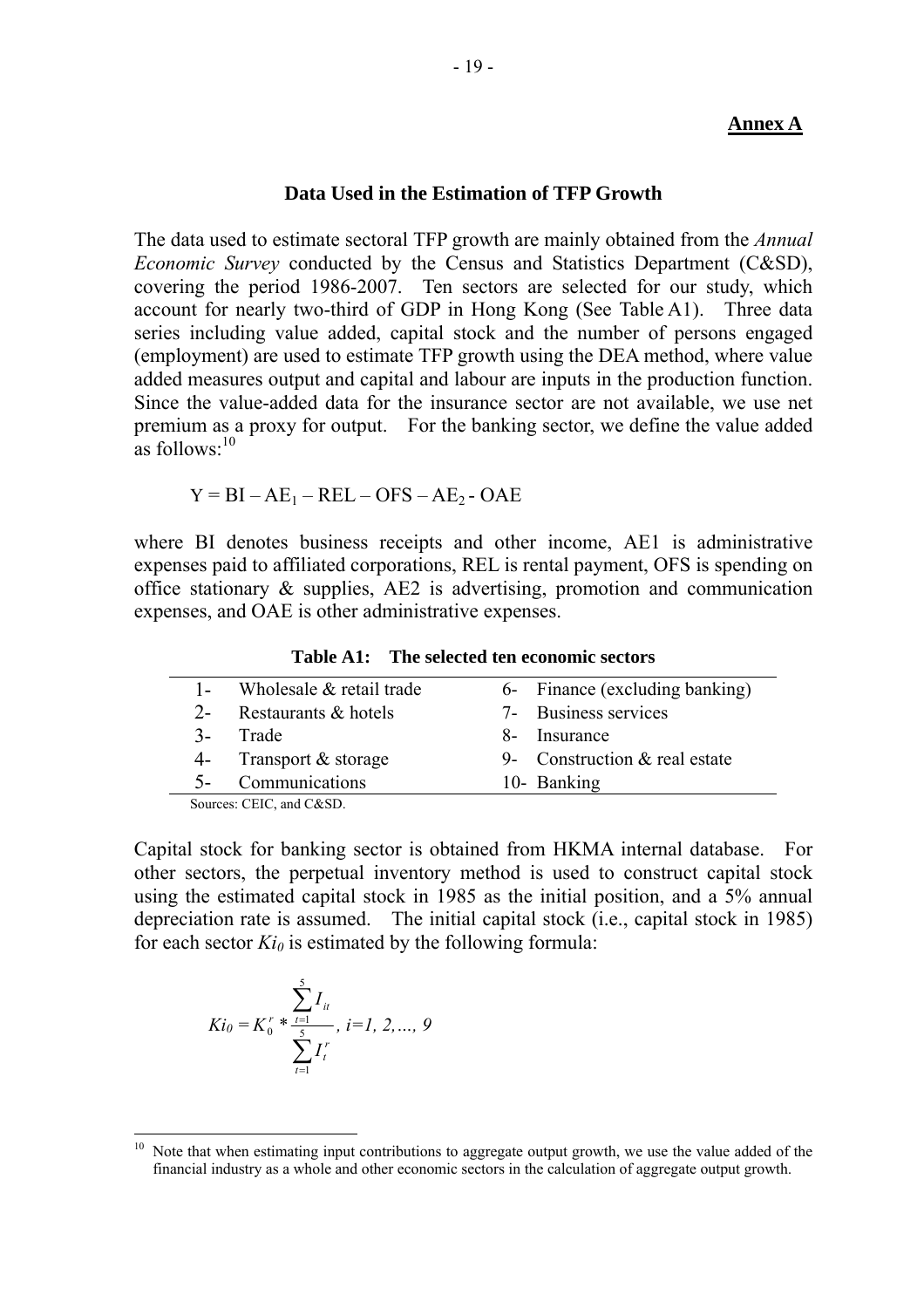## **Annex A**

## **Data Used in the Estimation of TFP Growth**

The data used to estimate sectoral TFP growth are mainly obtained from the *Annual Economic Survey* conducted by the Census and Statistics Department (C&SD), covering the period 1986-2007. Ten sectors are selected for our study, which account for nearly two-third of GDP in Hong Kong (See Table A1). Three data series including value added, capital stock and the number of persons engaged (employment) are used to estimate TFP growth using the DEA method, where value added measures output and capital and labour are inputs in the production function. Since the value-added data for the insurance sector are not available, we use net premium as a proxy for output. For the banking sector, we define the value added as follows: $10$ 

 $Y = BI - AE<sub>1</sub> - REL - OFS - AE<sub>2</sub> - OAE$ 

where BI denotes business receipts and other income, AE1 is administrative expenses paid to affiliated corporations, REL is rental payment, OFS is spending on office stationary & supplies, AE2 is advertising, promotion and communication expenses, and OAE is other administrative expenses.

**Table A1: The selected ten economic sectors** 

| $1-$            | Wholesale & retail trade |    | 6- Finance (excluding banking) |
|-----------------|--------------------------|----|--------------------------------|
| $2-$            | Restaurants & hotels     |    | 7- Business services           |
| $\mathcal{Z}_-$ | Trade                    | X- | Insurance                      |
| $4-$            | Transport & storage      |    | 9- Construction & real estate  |
|                 | Communications           |    | 10- Banking                    |
|                 | Sources: CEIC, and C&SD. |    |                                |

Capital stock for banking sector is obtained from HKMA internal database. For other sectors, the perpetual inventory method is used to construct capital stock using the estimated capital stock in 1985 as the initial position, and a 5% annual depreciation rate is assumed. The initial capital stock (i.e., capital stock in 1985) for each sector  $Ki_0$  is estimated by the following formula:

$$
Ki_0 = K_0^r * \sum_{t=1}^{5} I_{it} \sum_{t=1, 2, ..., 9}
$$

Note that when estimating input contributions to aggregate output growth, we use the value added of the financial industry as a whole and other economic sectors in the calculation of aggregate output growth.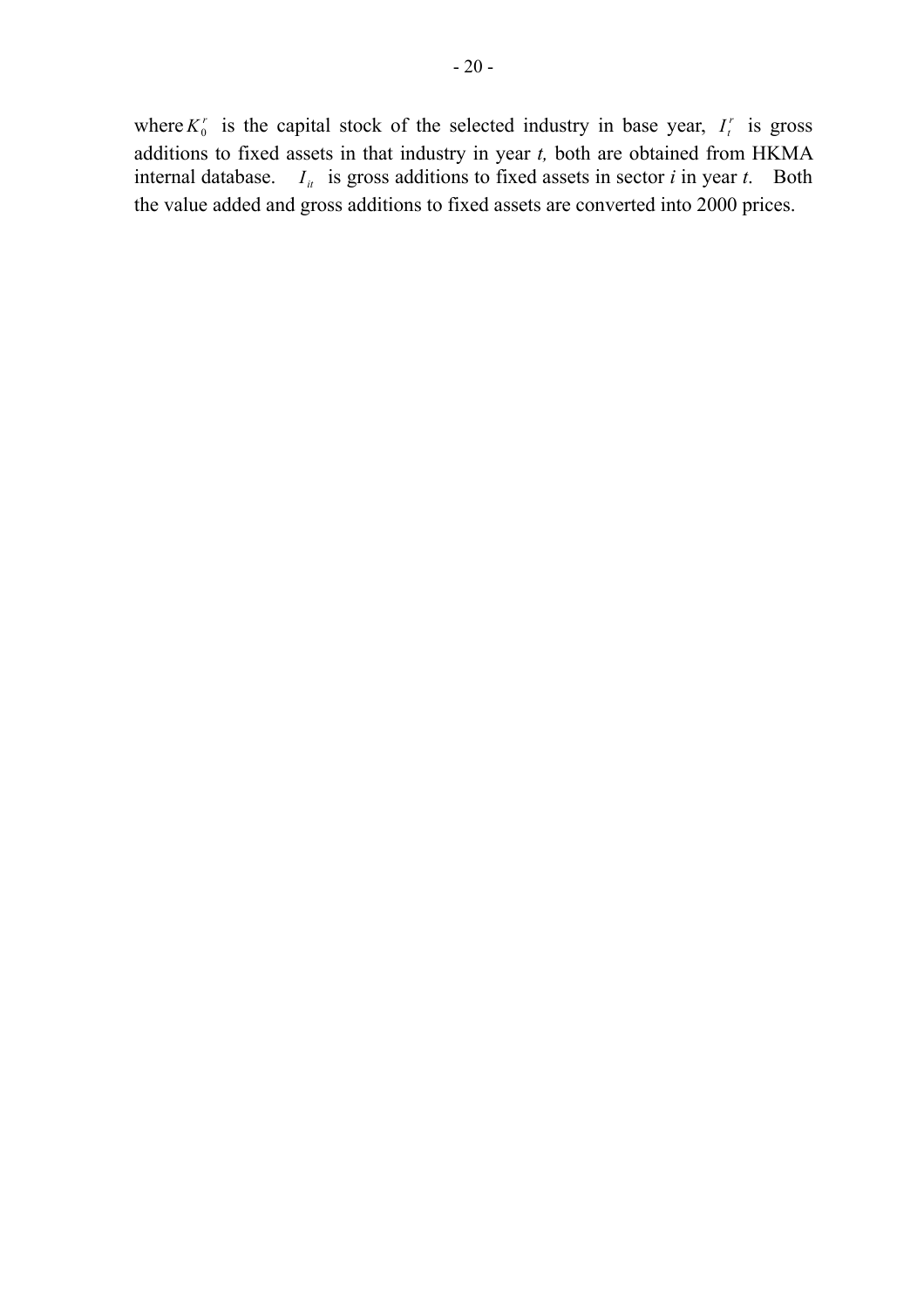where  $K_0^r$  is the capital stock of the selected industry in base year,  $I_t^r$  is gross additions to fixed assets in that industry in year *t,* both are obtained from HKMA internal database.  $I_{it}$  is gross additions to fixed assets in sector *i* in year *t*. Both the value added and gross additions to fixed assets are converted into 2000 prices.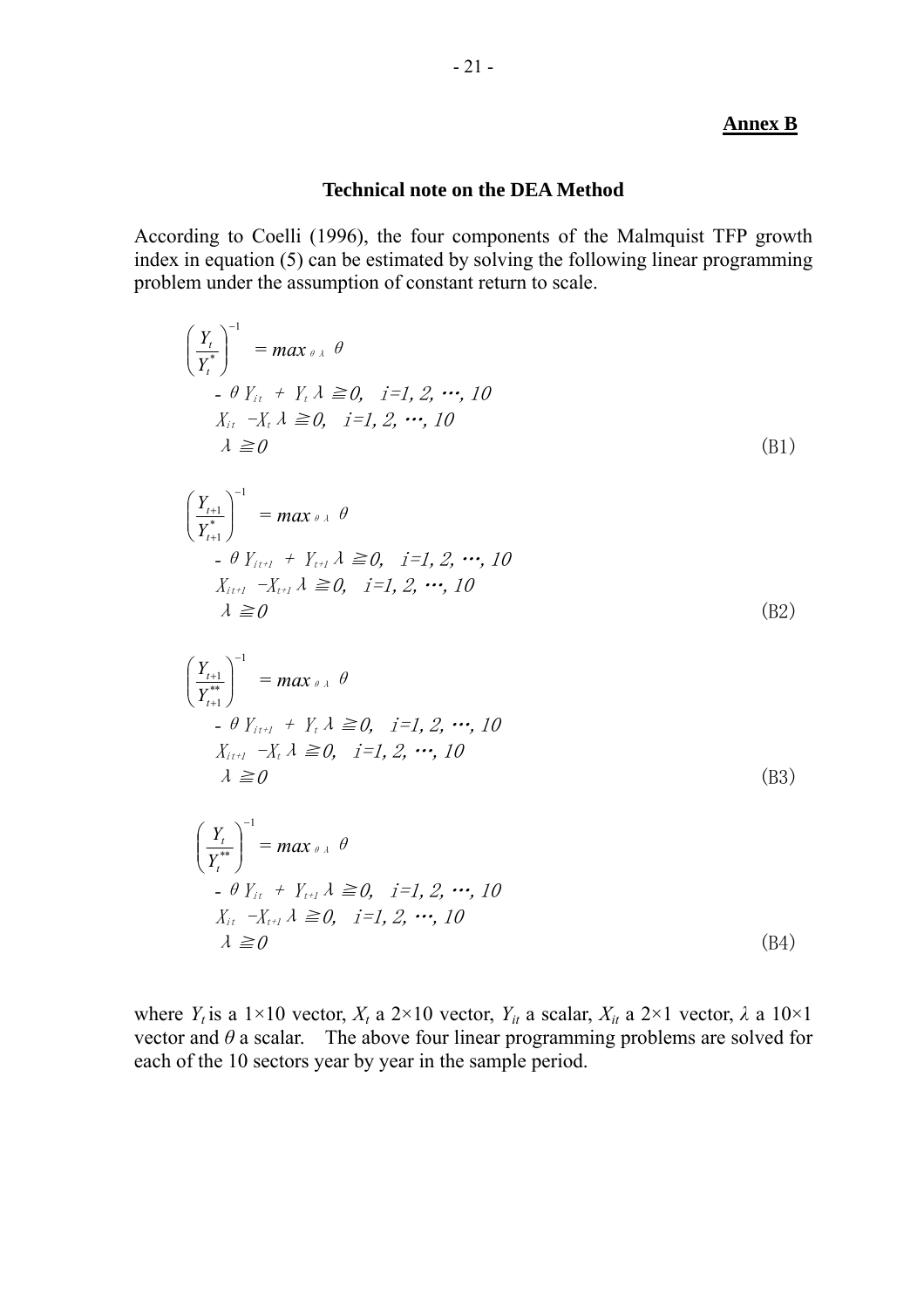## **Annex B**

## **Technical note on the DEA Method**

According to Coelli (1996), the four components of the Malmquist TFP growth index in equation (5) can be estimated by solving the following linear programming problem under the assumption of constant return to scale.

$$
\begin{aligned}\n\left(\frac{Y_t}{Y_t^*}\right)^{-1} &= \max_{\theta \in \mathcal{A}} \theta \\
&\quad \text{- } \theta \ Y_{it} + Y_t \ \lambda \geq 0, \quad i = 1, 2, \cdots, 10 \\
&\quad X_{it} - X_t \ \lambda \geq 0, \quad i = 1, 2, \cdots, 10 \\
&\quad \lambda \geq 0\n\end{aligned} \tag{B1}
$$

$$
\begin{aligned}\n\left(\frac{Y_{t+1}}{Y_{t+1}^*}\right)^{-1} &= \max_{\theta \in \mathcal{X}} \theta \\
&\quad \text{- } \theta \ Y_{i,t+1} + Y_{t+1} \ \lambda \geq 0, \quad i=1, 2, \cdots, 10 \\
&\quad X_{i,t+1} - X_{t+1} \ \lambda \geq 0, \quad i=1, 2, \cdots, 10 \\
&\quad \lambda \geq 0\n\end{aligned} \tag{B2}
$$

$$
\begin{aligned}\n\left(\frac{Y_{t+1}}{Y_{t+1}^{**}}\right)^{-1} &= \max_{\theta} \lambda \quad \theta \\
\quad - \theta \quad Y_{i,t+1} + Y_t \quad \lambda \ge 0, \quad i = 1, 2, \cdots, 10 \\
X_{i,t+1} - X_t \quad \lambda \ge 0, \quad i = 1, 2, \cdots, 10 \\
\lambda \ge 0\n\end{aligned}
$$
\n(B3)

$$
\left(\frac{Y_t}{Y_t^{**}}\right)^{-1} = \max_{\theta \in \mathcal{A}} \theta
$$
  
\n-  $\theta Y_{it} + Y_{t+1} \lambda \ge 0, \quad i=1, 2, \cdots, 10$   
\n $X_{it} - X_{t+1} \lambda \ge 0, \quad i=1, 2, \cdots, 10$   
\n $\lambda \ge 0$  (B4)

where *Y<sub>t</sub>* is a 1×10 vector, *X<sub>t</sub>* a 2×10 vector, *Y<sub>it</sub>* a scalar, *X<sub>it</sub>* a 2×1 vector,  $\lambda$  a 10×1 vector and  $\theta$  a scalar. The above four linear programming problems are solved for each of the 10 sectors year by year in the sample period.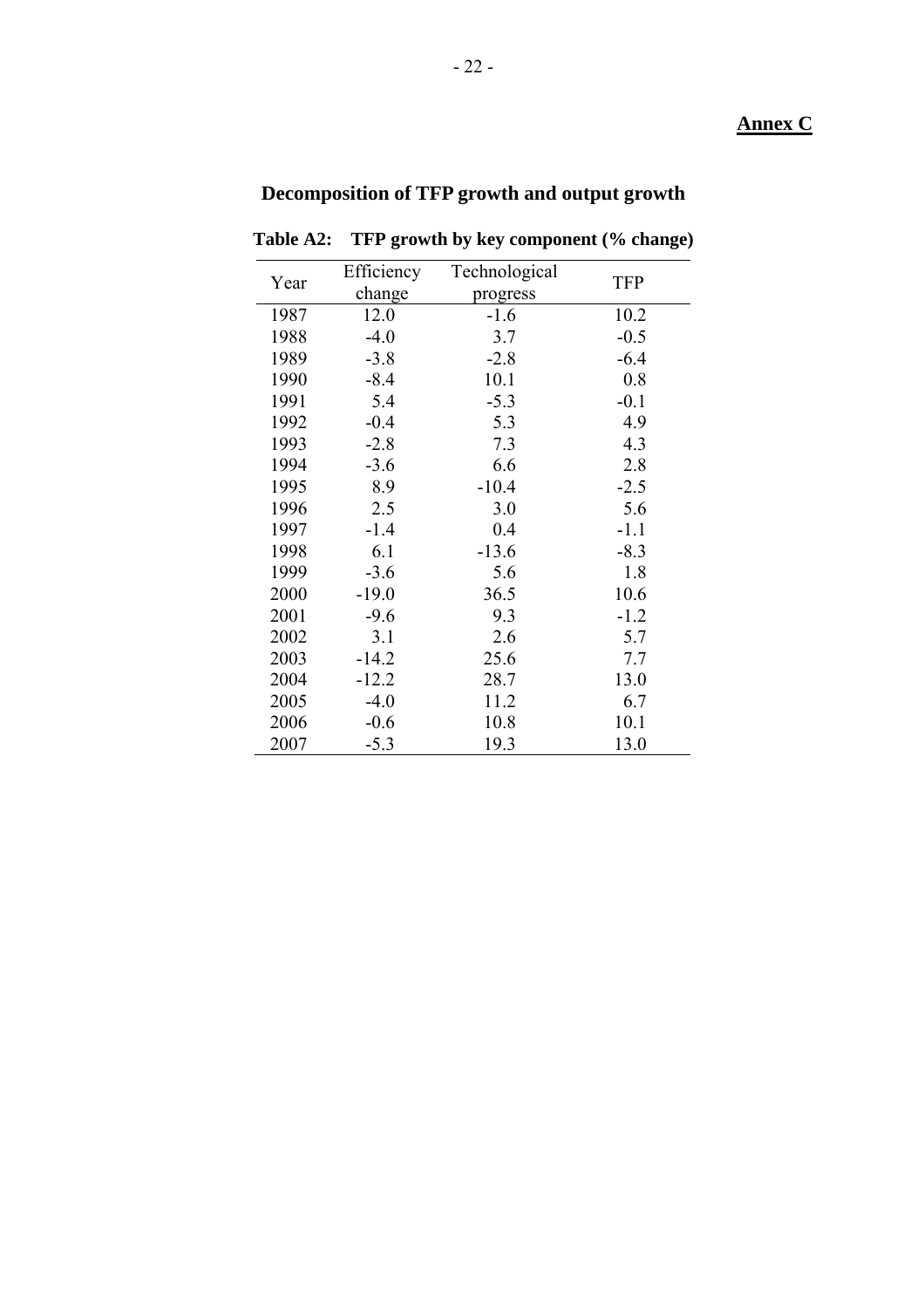## **Annex C**

# **Decomposition of TFP growth and output growth**

| Year | Efficiency | Technological | <b>TFP</b> |
|------|------------|---------------|------------|
|      | change     | progress      |            |
| 1987 | 12.0       | $-1.6$        | 10.2       |
| 1988 | $-4.0$     | 3.7           | $-0.5$     |
| 1989 | $-3.8$     | $-2.8$        | $-6.4$     |
| 1990 | $-8.4$     | 10.1          | 0.8        |
| 1991 | 5.4        | $-5.3$        | $-0.1$     |
| 1992 | $-0.4$     | 5.3           | 4.9        |
| 1993 | $-2.8$     | 7.3           | 4.3        |
| 1994 | $-3.6$     | 6.6           | 2.8        |
| 1995 | 8.9        | $-10.4$       | $-2.5$     |
| 1996 | 2.5        | 3.0           | 5.6        |
| 1997 | $-1.4$     | 0.4           | $-1.1$     |
| 1998 | 6.1        | $-13.6$       | $-8.3$     |
| 1999 | $-3.6$     | 5.6           | 1.8        |
| 2000 | $-19.0$    | 36.5          | 10.6       |
| 2001 | $-9.6$     | 9.3           | $-1.2$     |
| 2002 | 3.1        | 2.6           | 5.7        |
| 2003 | $-14.2$    | 25.6          | 7.7        |
| 2004 | $-12.2$    | 28.7          | 13.0       |
| 2005 | $-4.0$     | 11.2          | 6.7        |
| 2006 | $-0.6$     | 10.8          | 10.1       |
| 2007 | $-5.3$     | 19.3          | 13.0       |

**Table A2: TFP growth by key component (% change)**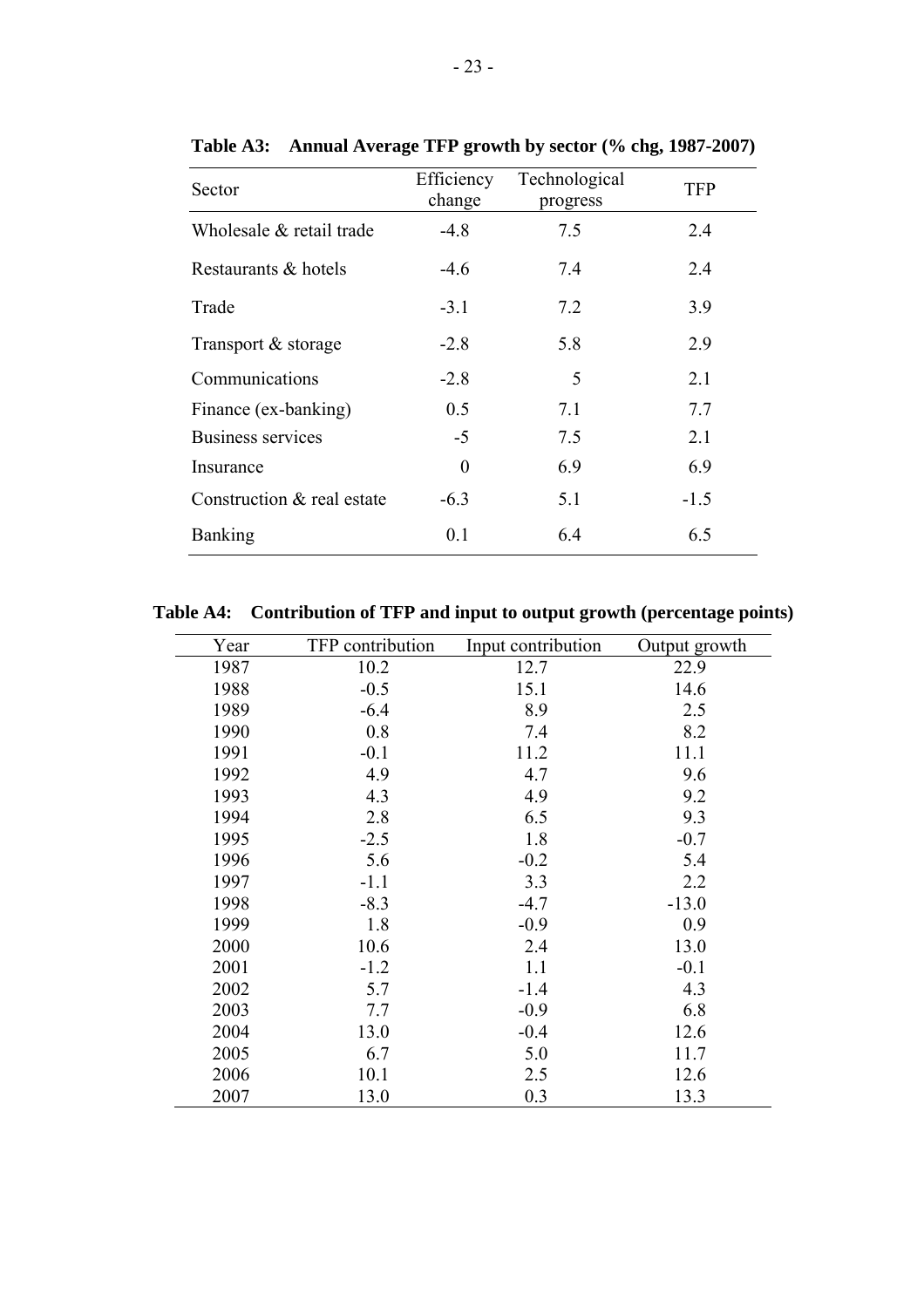| Sector                     | Efficiency<br>change | Technological<br>progress | <b>TFP</b> |
|----------------------------|----------------------|---------------------------|------------|
| Wholesale & retail trade   | $-4.8$               | 7.5                       | 2.4        |
| Restaurants & hotels       | $-4.6$               | 7.4                       | 2.4        |
| Trade                      | $-3.1$               | 7.2                       | 3.9        |
| Transport & storage        | $-2.8$               | 5.8                       | 2.9        |
| Communications             | $-28$                | 5                         | 2.1        |
| Finance (ex-banking)       | 0.5                  | 7.1                       | 7.7        |
| Business services          | $-5$                 | 7.5                       | 2.1        |
| Insurance                  | $\theta$             | 6.9                       | 6.9        |
| Construction & real estate | $-6.3$               | 5.1                       | $-1.5$     |
| <b>Banking</b>             | 0.1                  | 6.4                       | 6.5        |

**Table A3: Annual Average TFP growth by sector (% chg, 1987-2007)** 

**Table A4: Contribution of TFP and input to output growth (percentage points)** 

| Year | TFP contribution | Input contribution | Output growth |
|------|------------------|--------------------|---------------|
| 1987 | 10.2             | 12.7               | 22.9          |
| 1988 | $-0.5$           | 15.1               | 14.6          |
| 1989 | $-6.4$           | 8.9                | 2.5           |
| 1990 | 0.8              | 7.4                | 8.2           |
| 1991 | $-0.1$           | 11.2               | 11.1          |
| 1992 | 4.9              | 4.7                | 9.6           |
| 1993 | 4.3              | 4.9                | 9.2           |
| 1994 | 2.8              | 6.5                | 9.3           |
| 1995 | $-2.5$           | 1.8                | $-0.7$        |
| 1996 | 5.6              | $-0.2$             | 5.4           |
| 1997 | $-1.1$           | 3.3                | 2.2           |
| 1998 | $-8.3$           | $-4.7$             | $-13.0$       |
| 1999 | 1.8              | $-0.9$             | 0.9           |
| 2000 | 10.6             | 2.4                | 13.0          |
| 2001 | $-1.2$           | 1.1                | $-0.1$        |
| 2002 | 5.7              | $-1.4$             | 4.3           |
| 2003 | 7.7              | $-0.9$             | 6.8           |
| 2004 | 13.0             | $-0.4$             | 12.6          |
| 2005 | 6.7              | 5.0                | 11.7          |
| 2006 | 10.1             | 2.5                | 12.6          |
| 2007 | 13.0             | 0.3                | 13.3          |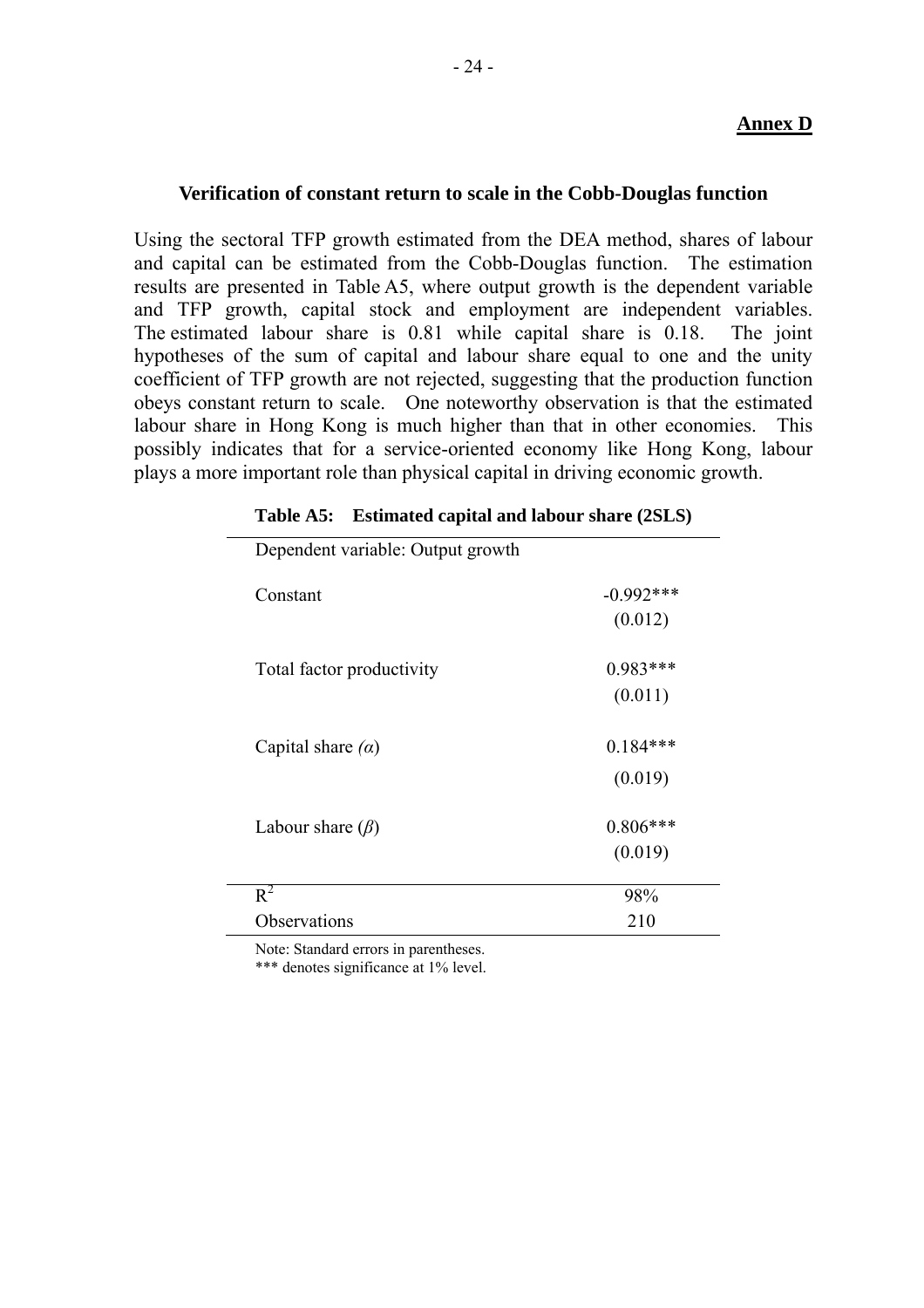## **Annex D**

## **Verification of constant return to scale in the Cobb-Douglas function**

Using the sectoral TFP growth estimated from the DEA method, shares of labour and capital can be estimated from the Cobb-Douglas function. The estimation results are presented in Table A5, where output growth is the dependent variable and TFP growth, capital stock and employment are independent variables. The estimated labour share is 0.81 while capital share is 0.18. The joint hypotheses of the sum of capital and labour share equal to one and the unity coefficient of TFP growth are not rejected, suggesting that the production function obeys constant return to scale. One noteworthy observation is that the estimated labour share in Hong Kong is much higher than that in other economies. This possibly indicates that for a service-oriented economy like Hong Kong, labour plays a more important role than physical capital in driving economic growth.

| д,                                |              |
|-----------------------------------|--------------|
| Dependent variable: Output growth |              |
| Constant                          | $-0.992$ *** |
|                                   | (0.012)      |
| Total factor productivity         | $0.983***$   |
|                                   | (0.011)      |
| Capital share $(\alpha)$          | $0.184***$   |
|                                   | (0.019)      |
| Labour share $(\beta)$            | $0.806***$   |
|                                   | (0.019)      |
| $R^2$                             | 98%          |
| Observations                      | 210          |
|                                   |              |

| Table A5: Estimated capital and labour share (2SLS) |  |  |  |
|-----------------------------------------------------|--|--|--|
|                                                     |  |  |  |

Note: Standard errors in parentheses.

\*\*\* denotes significance at 1% level.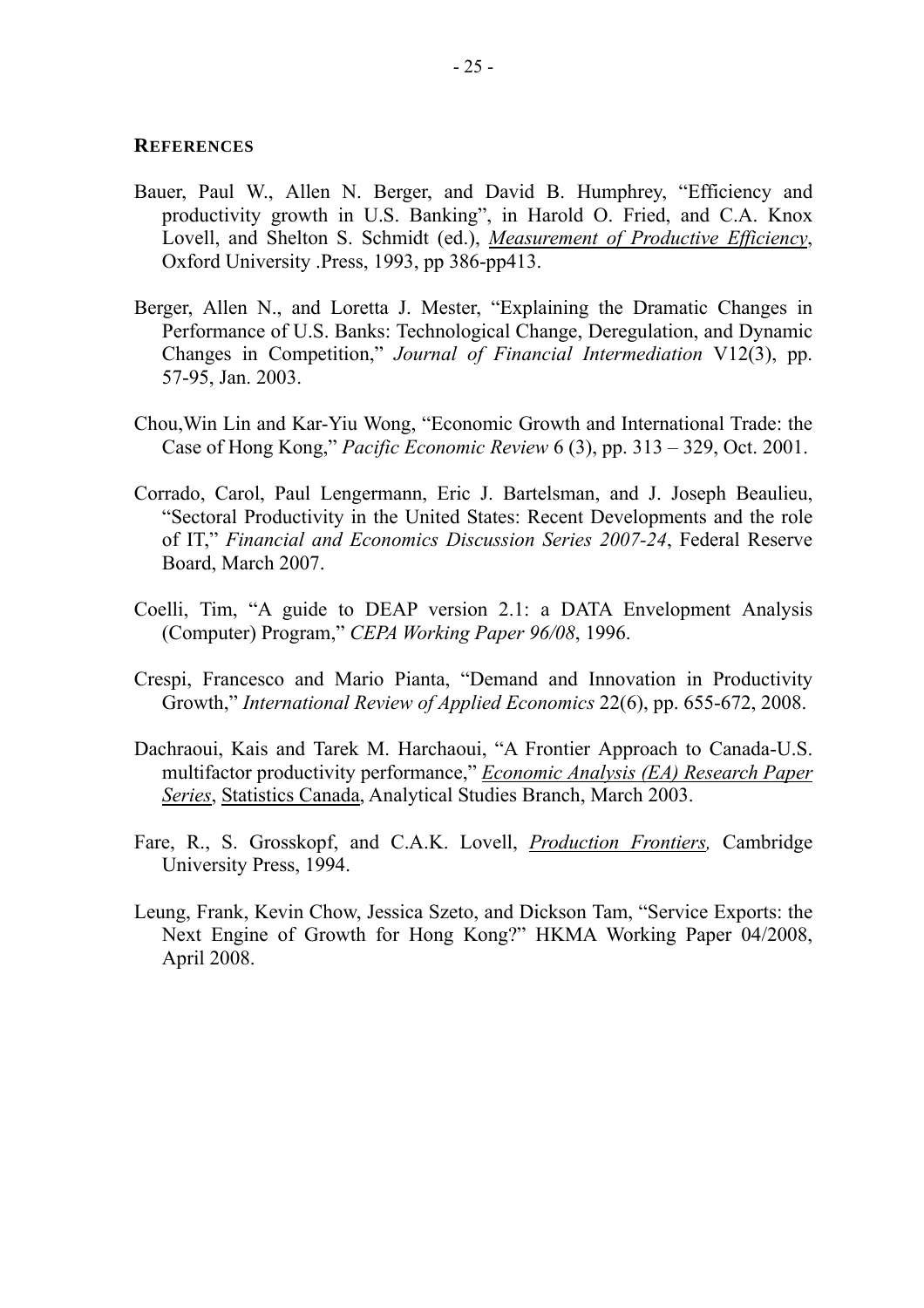#### **REFERENCES**

- Bauer, Paul W., Allen N. Berger, and David B. Humphrey, "Efficiency and productivity growth in U.S. Banking", in Harold O. Fried, and C.A. Knox Lovell, and Shelton S. Schmidt (ed.), *Measurement of Productive Efficiency*, Oxford University .Press, 1993, pp 386-pp413.
- Berger, Allen N., and Loretta J. Mester, "Explaining the Dramatic Changes in Performance of U.S. Banks: Technological Change, Deregulation, and Dynamic Changes in Competition," *Journal of Financial Intermediation* V12(3), pp. 57-95, Jan. 2003.
- Chou,Win Lin and Kar-Yiu Wong, "Economic Growth and International Trade: the Case of Hong Kong," *Pacific Economic Review* 6 (3), pp. 313 – 329, Oct. 2001.
- Corrado, Carol, Paul Lengermann, Eric J. Bartelsman, and J. Joseph Beaulieu, "Sectoral Productivity in the United States: Recent Developments and the role of IT," *Financial and Economics Discussion Series 2007-24*, Federal Reserve Board, March 2007.
- Coelli, Tim, "A guide to DEAP version 2.1: a DATA Envelopment Analysis (Computer) Program," *CEPA Working Paper 96/08*, 1996.
- Crespi, Francesco and Mario Pianta, "Demand and Innovation in Productivity Growth," *International Review of Applied Economics* 22(6), pp. 655-672, 2008.
- Dachraoui, Kais and Tarek M. Harchaoui, "A Frontier Approach to Canada-U.S. multifactor productivity performance," *Economic Analysis (EA) Research Paper Series*, Statistics Canada, Analytical Studies Branch, March 2003.
- Fare, R., S. Grosskopf, and C.A.K. Lovell, *Production Frontiers,* Cambridge University Press, 1994.
- Leung, Frank, Kevin Chow, Jessica Szeto, and Dickson Tam, "Service Exports: the Next Engine of Growth for Hong Kong?" HKMA Working Paper 04/2008, April 2008.